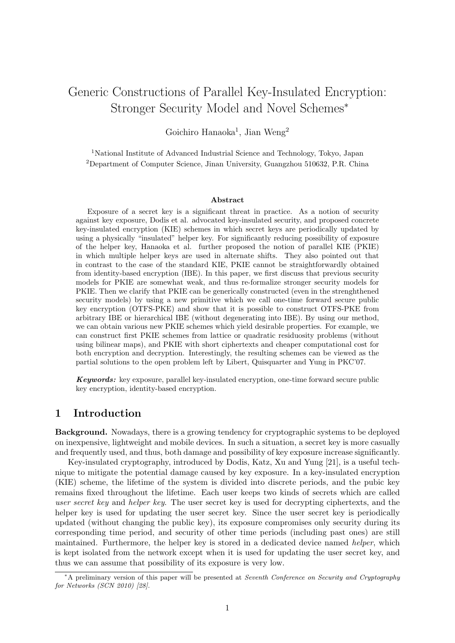# Generic Constructions of Parallel Key-Insulated Encryption: Stronger Security Model and Novel Schemes*<sup>∗</sup>*

Goichiro Hanaoka<sup>1</sup>, Jian Weng<sup>2</sup>

<sup>1</sup>National Institute of Advanced Industrial Science and Technology, Tokyo, Japan <sup>2</sup>Department of Computer Science, Jinan University, Guangzhou 510632, P.R. China

#### **Abstract**

Exposure of a secret key is a significant threat in practice. As a notion of security against key exposure, Dodis et al. advocated key-insulated security, and proposed concrete key-insulated encryption (KIE) schemes in which secret keys are periodically updated by using a physically "insulated" helper key. For significantly reducing possibility of exposure of the helper key, Hanaoka et al. further proposed the notion of parallel KIE (PKIE) in which multiple helper keys are used in alternate shifts. They also pointed out that in contrast to the case of the standard KIE, PKIE cannot be straightforwardly obtained from identity-based encryption (IBE). In this paper, we first discuss that previous security models for PKIE are somewhat weak, and thus re-formalize stronger security models for PKIE. Then we clarify that PKIE can be generically constructed (even in the strenghthened security models) by using a new primitive which we call one-time forward secure public key encryption (OTFS-PKE) and show that it is possible to construct OTFS-PKE from arbitrary IBE or hierarchical IBE (without degenerating into IBE). By using our method, we can obtain various new PKIE schemes which yield desirable properties. For example, we can construct first PKIE schemes from lattice or quadratic residuosity problems (without using bilinear maps), and PKIE with short ciphertexts and cheaper computational cost for both encryption and decryption. Interestingly, the resulting schemes can be viewed as the partial solutions to the open problem left by Libert, Quisquarter and Yung in PKC'07.

*Keywords:* key exposure, parallel key-insulated encryption, one-time forward secure public key encryption, identity-based encryption.

# **1 Introduction**

**Background.** Nowadays, there is a growing tendency for cryptographic systems to be deployed on inexpensive, lightweight and mobile devices. In such a situation, a secret key is more casually and frequently used, and thus, both damage and possibility of key exposure increase significantly.

Key-insulated cryptography, introduced by Dodis, Katz, Xu and Yung [21], is a useful technique to mitigate the potential damage caused by key exposure. In a key-insulated encryption (KIE) scheme, the lifetime of the system is divided into discrete periods, and the pubic key remains fixed throughout the lifetime. Each user keeps two kinds of secrets which are called *user secret key* and *helper key*. The user secret key is used for decrypting ciphertexts, and the helper key is used for updating the user secret key. Since the user secret key is periodically updated (without changing the public key), its exposure compromises only security during its corresponding time period, and security of other time periods (including past ones) are still maintained. Furthermore, the helper key is stored in a dedicated device named *helper*, which is kept isolated from the network except when it is used for updating the user secret key, and thus we can assume that possibility of its exposure is very low.

*<sup>∗</sup>*A preliminary version of this paper will be presented at *Seventh Conference on Security and Cryptography for Networks (SCN 2010) [28].*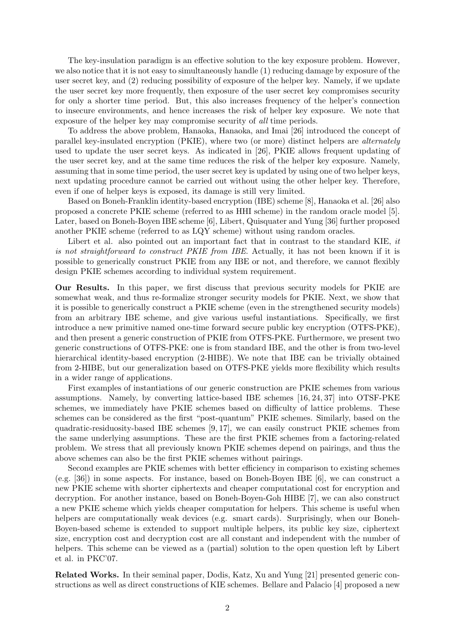The key-insulation paradigm is an effective solution to the key exposure problem. However, we also notice that it is not easy to simultaneously handle (1) reducing damage by exposure of the user secret key, and (2) reducing possibility of exposure of the helper key. Namely, if we update the user secret key more frequently, then exposure of the user secret key compromises security for only a shorter time period. But, this also increases frequency of the helper's connection to insecure environments, and hence increases the risk of helper key exposure. We note that exposure of the helper key may compromise security of *all* time periods.

To address the above problem, Hanaoka, Hanaoka, and Imai [26] introduced the concept of parallel key-insulated encryption (PKIE), where two (or more) distinct helpers are *alternately* used to update the user secret keys. As indicated in [26], PKIE allows frequent updating of the user secret key, and at the same time reduces the risk of the helper key exposure. Namely, assuming that in some time period, the user secret key is updated by using one of two helper keys, next updating procedure cannot be carried out without using the other helper key. Therefore, even if one of helper keys is exposed, its damage is still very limited.

Based on Boneh-Franklin identity-based encryption (IBE) scheme [8], Hanaoka et al. [26] also proposed a concrete PKIE scheme (referred to as HHI scheme) in the random oracle model [5]. Later, based on Boneh-Boyen IBE scheme [6], Libert, Quisquater and Yung [36] further proposed another PKIE scheme (referred to as LQY scheme) without using random oracles.

Libert et al. also pointed out an important fact that in contrast to the standard KIE, *it is not straightforward to construct PKIE from IBE*. Actually, it has not been known if it is possible to generically construct PKIE from any IBE or not, and therefore, we cannot flexibly design PKIE schemes according to individual system requirement.

**Our Results.** In this paper, we first discuss that previous security models for PKIE are somewhat weak, and thus re-formalize stronger security models for PKIE. Next, we show that it is possible to generically construct a PKIE scheme (even in the strengthened security models) from an arbitrary IBE scheme, and give various useful instantiations. Specifically, we first introduce a new primitive named one-time forward secure public key encryption (OTFS-PKE), and then present a generic construction of PKIE from OTFS-PKE. Furthermore, we present two generic constructions of OTFS-PKE: one is from standard IBE, and the other is from two-level hierarchical identity-based encryption (2-HIBE). We note that IBE can be trivially obtained from 2-HIBE, but our generalization based on OTFS-PKE yields more flexibility which results in a wider range of applications.

First examples of instantiations of our generic construction are PKIE schemes from various assumptions. Namely, by converting lattice-based IBE schemes [16, 24, 37] into OTSF-PKE schemes, we immediately have PKIE schemes based on difficulty of lattice problems. These schemes can be considered as the first "post-quantum" PKIE schemes. Similarly, based on the quadratic-residuosity-based IBE schemes  $[9, 17]$ , we can easily construct PKIE schemes from the same underlying assumptions. These are the first PKIE schemes from a factoring-related problem. We stress that all previously known PKIE schemes depend on pairings, and thus the above schemes can also be the first PKIE schemes without pairings.

Second examples are PKIE schemes with better efficiency in comparison to existing schemes (e.g. [36]) in some aspects. For instance, based on Boneh-Boyen IBE [6], we can construct a new PKIE scheme with shorter ciphertexts and cheaper computational cost for encryption and decryption. For another instance, based on Boneh-Boyen-Goh HIBE [7], we can also construct a new PKIE scheme which yields cheaper computation for helpers. This scheme is useful when helpers are computationally weak devices (e.g. smart cards). Surprisingly, when our Boneh-Boyen-based scheme is extended to support multiple helpers, its public key size, ciphertext size, encryption cost and decryption cost are all constant and independent with the number of helpers. This scheme can be viewed as a (partial) solution to the open question left by Libert et al. in PKC'07.

**Related Works.** In their seminal paper, Dodis, Katz, Xu and Yung [21] presented generic constructions as well as direct constructions of KIE schemes. Bellare and Palacio [4] proposed a new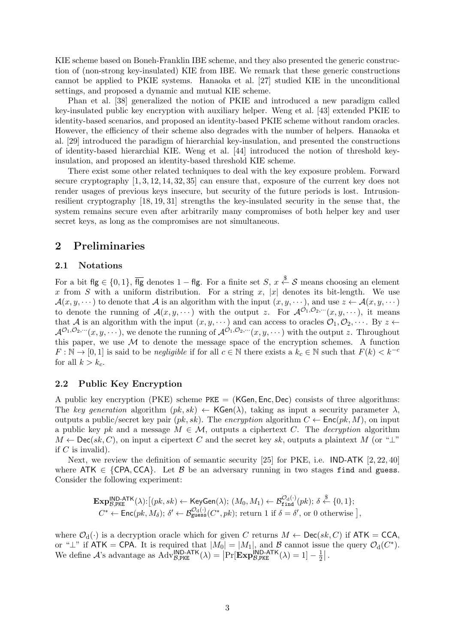KIE scheme based on Boneh-Franklin IBE scheme, and they also presented the generic construction of (non-strong key-insulated) KIE from IBE. We remark that these generic constructions cannot be applied to PKIE systems. Hanaoka et al. [27] studied KIE in the unconditional settings, and proposed a dynamic and mutual KIE scheme.

Phan et al. [38] generalized the notion of PKIE and introduced a new paradigm called key-insulated public key encryption with auxiliary helper. Weng et al. [43] extended PKIE to identity-based scenarios, and proposed an identity-based PKIE scheme without random oracles. However, the efficiency of their scheme also degrades with the number of helpers. Hanaoka et al. [29] introduced the paradigm of hierarchial key-insulation, and presented the constructions of identity-based hierarchial KIE. Weng et al. [44] introduced the notion of threshold keyinsulation, and proposed an identity-based threshold KIE scheme.

There exist some other related techniques to deal with the key exposure problem. Forward secure cryptography [1, 3, 12, 14, 32, 35] can ensure that, exposure of the current key does not render usages of previous keys insecure, but security of the future periods is lost. Intrusionresilient cryptography [18, 19, 31] strengths the key-insulated security in the sense that, the system remains secure even after arbitrarily many compromises of both helper key and user secret keys, as long as the compromises are not simultaneous.

# **2 Preliminaries**

# **2.1 Notations**

For a bit  $f \mid g \in \{0, 1\}$ ,  $\overline{f \mid g}$  denotes  $1 - f \mid g$ . For a finite set *S*,  $x \stackrel{\$}{\leftarrow} S$  means choosing an element x from *S* with a uniform distribution. For a string x, |x| denotes its bit-length. We use  $\mathcal{A}(x, y, \dots)$  to denote that  $\mathcal{A}$  is an algorithm with the input  $(x, y, \dots)$ , and use  $z \leftarrow \mathcal{A}(x, y, \dots)$ to denote the running of  $\mathcal{A}(x, y, \cdots)$  with the output *z*. For  $\mathcal{A}^{\mathcal{O}_1, \mathcal{O}_2, \cdots}(x, y, \cdots)$ , it means that *A* is an algorithm with the input  $(x, y, \cdots)$  and can access to oracles  $\mathcal{O}_1, \mathcal{O}_2, \cdots$ . By  $z \leftarrow$  $\mathcal{A}^{\mathcal{O}_1, \mathcal{O}_2, \cdots}(x, y, \cdots)$ , we denote the running of  $\mathcal{A}^{\mathcal{O}_1, \mathcal{O}_2, \cdots}(x, y, \cdots)$  with the output *z*. Throughout this paper, we use  $M$  to denote the message space of the encryption schemes. A function  $F: \mathbb{N} \to [0, 1]$  is said to be *negligible* if for all  $c \in \mathbb{N}$  there exists a  $k_c \in \mathbb{N}$  such that  $F(k) < k^{-c}$ for all  $k > k_c$ .

# **2.2 Public Key Encryption**

A public key encryption (PKE) scheme PKE = (KGen*,* Enc*,* Dec) consists of three algorithms: The *key generation* algorithm  $(pk, sk) \leftarrow \mathsf{KGen}(\lambda)$ , taking as input a security parameter  $\lambda$ , outputs a public/secret key pair  $(pk, sk)$ . The *encryption* algorithm  $C \leftarrow \mathsf{Enc}(pk, M)$ , on input a public key *pk* and a message  $M \in \mathcal{M}$ , outputs a ciphertext *C*. The *decryption* algorithm  $M \leftarrow \text{Dec}(sk, C)$ , on input a cipertext *C* and the secret key *sk*, outputs a plaintext *M* (or "*⊥*" if *C* is invalid).

Next, we review the definition of semantic security [25] for PKE, i.e. IND-ATK [2, 22, 40] where  $ATK \in \{CPA, CCA\}$ . Let *B* be an adversary running in two stages find and guess. Consider the following experiment:

$$
\mathbf{Exp}_{\mathcal{B},\text{PKE}}^{\mathsf{IND-ATK}}(\lambda) : [(pk, sk) \leftarrow \mathsf{KeyGen}(\lambda); (M_0, M_1) \leftarrow \mathcal{B}_{\text{find}}^{\mathcal{O}_d(\cdot)}(pk); \delta \stackrel{\$}{\leftarrow} \{0, 1\};
$$
  

$$
C^* \leftarrow \mathsf{Enc}(pk, M_\delta); \delta' \leftarrow \mathcal{B}_{\text{guess}}^{\mathcal{O}_d(\cdot)}(C^*, pk); \text{ return 1 if } \delta = \delta', \text{ or 0 otherwise },
$$

where  $\mathcal{O}_d(\cdot)$  is a decryption oracle which for given *C* returns  $M \leftarrow \mathsf{Dec}(sk, C)$  if  $ATK = CCA$ , or " $\perp$ " if ATK = CPA. It is required that  $|M_0| = |M_1|$ , and *B* cannot issue the query  $\mathcal{O}_d(C^*)$ . We define *A*'s advantage as  $\widehat{Adv}_{B,PRE}^{IND-ATK}(\lambda) = \left[ Pr[\mathbf{Exp}_{B,PRE}^{IND-ATK}(\lambda) = 1] - \frac{1}{2}$  $\frac{1}{2}$ .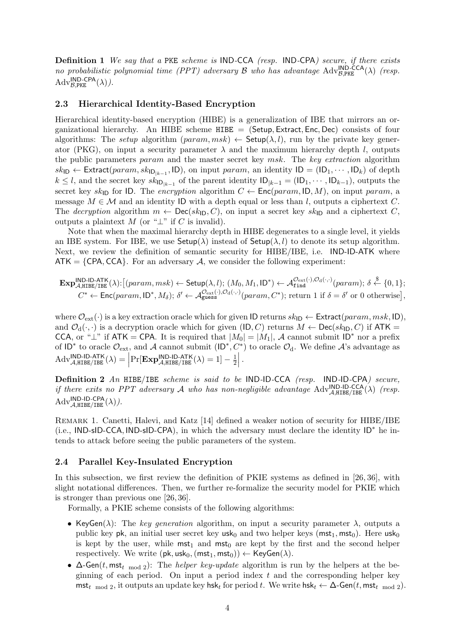**Definition 1** *We say that a* PKE *scheme is* IND*-*CCA *(resp.* IND*-*CPA*) secure, if there exists no probabilistic polynomial time (PPT) adversary*  $\mathcal{B}$  *who has advantage*  $\text{Adv}_{\mathcal{B},\text{PKE}}^{\text{IND-CCA}}(\lambda)$  (resp.  $\mathrm{Adv}_{\mathcal{B},\text{PKE}}^{\text{IND-CPA}}(\lambda)).$ 

# **2.3 Hierarchical Identity-Based Encryption**

Hierarchical identity-based encryption (HIBE) is a generalization of IBE that mirrors an organizational hierarchy. An HIBE scheme HIBE = (Setup*,* Extract*,* Enc*,* Dec) consists of four algorithms: The *setup* algorithm ( $param, msk$ )  $\leftarrow$  Setup( $\lambda, l$ ), run by the private key generator (PKG), on input a security parameter  $\lambda$  and the maximum hierarchy depth *l*, outputs the public parameters *param* and the master secret key *msk*. The *key extraction* algorithm  $sk_{\text{ID}} \leftarrow$  Extract(*param*,  $sk_{\text{ID}_{|k-1}}$ , ID), on input *param*, an identity  $\text{ID} = (\text{ID}_1, \cdots, \text{ID}_k)$  of depth *k* ≤ *l*, and the secret key  $sk_{\text{ID}_{|k-1}}$  of the parent identity  $\text{ID}_{|k-1} = (\text{ID}_{1}, \cdots, \text{ID}_{k-1})$ , outputs the secret key  $sk_{\text{ID}}$  for ID. The *encryption* algorithm  $C \leftarrow \text{Enc}(param, \text{ID}, M)$ , on input *param*, a message  $M \in \mathcal{M}$  and an identity ID with a depth equal or less than *l*, outputs a ciphertext *C*. The *decryption* algorithm  $m \leftarrow \text{Dec}(sk_{\text{ID}}, C)$ , on input a secret key  $sk_{\text{ID}}$  and a ciphertext *C*, outputs a plaintext *M* (or " $\perp$ " if *C* is invalid).

Note that when the maximal hierarchy depth in HIBE degenerates to a single level, it yields an IBE system. For IBE, we use  $\mathsf{Setup}(\lambda)$  instead of  $\mathsf{Setup}(\lambda, l)$  to denote its setup algorithm. Next, we review the definition of semantic security for HIBE/IBE, i.e. IND-ID-ATK where  $ATK = \{CPA, CCA\}$ . For an adversary A, we consider the following experiment:

$$
\mathbf{Exp}_{\mathcal{A},\text{HIBE}/\text{IBE}}^{\text{IND-ID-ATK}}(\lambda):[(param,msk) \leftarrow \mathsf{Setup}(\lambda,l); (M_0,M_1,\mathsf{ID}^*) \leftarrow \mathcal{A}_{\text{find}}^{\mathcal{O}_{\text{ext}}(\cdot),\mathcal{O}_{\text{d}}(\cdot,\cdot)}(param); \delta \leftarrow \{0,1\};
$$
  

$$
C^* \leftarrow \mathsf{Enc}(param, \mathsf{ID}^*, M_\delta); \delta' \leftarrow \mathcal{A}_{\text{guess}}^{\mathcal{O}_{\text{ext}}(\cdot),\mathcal{O}_{\text{d}}(\cdot,\cdot)}(param, C^*); \text{ return 1 if } \delta = \delta' \text{ or 0 otherwise}\},
$$

where  $\mathcal{O}_{ext}(\cdot)$  is a key extraction oracle which for given ID returns  $sk_{ID} \leftarrow$  Extract $(param, msk, ID),$ and  $\mathcal{O}_d(\cdot, \cdot)$  is a decryption oracle which for given (ID, C) returns  $M \leftarrow \text{Dec}(sk_{\text{ID}}, C)$  if  $ATK =$ CCA, or " $\perp$ " if ATK = CPA. It is required that  $|M_0| = |M_1|$ , *A* cannot submit ID<sup>\*</sup> nor a prefix of  $ID^*$  to oracle  $\mathcal{O}_{ext}$ , and *A* cannot submit  $(ID^*, C^*)$  to oracle  $\mathcal{O}_d$ . We define *A*'s advantage as  $\mathrm{Adv}_{\mathcal{A},\text{HIBE}/\text{IBE}}^{\text{IND-ID-ATK}}(\lambda) = \left| \Pr[\mathbf{Exp}_{\mathcal{A},\text{HIBE}/\text{IBE}}^{\text{IND-ID-ATK}}(\lambda) = 1] - \frac{1}{2} \right|$ 2 *.*

**Definition 2** *An* HIBE*/*IBE *scheme is said to be* IND*-*ID*-*CCA *(resp.* IND*-*ID*-*CPA*) secure, if there exits no PPT adversary A who has non-negligible advantage*  $\text{Adv}^{\text{IND-ID-CCA}}_{\mathcal{A},\text{HIEE}/\text{IEE}}(\lambda)$  (resp.  $\mathrm{Adv}_{\mathcal{A},\text{HIBE}/\text{IBE}}^{\textsf{IND-CPA}}(\lambda)).$ 

Remark 1. Canetti, Halevi, and Katz [14] defined a weaker notion of security for HIBE/IBE (i.e., IND-sID-CCA*,* IND-sID-CPA), in which the adversary must declare the identity ID*∗* he intends to attack before seeing the public parameters of the system.

# **2.4 Parallel Key-Insulated Encryption**

In this subsection, we first review the definition of PKIE systems as defined in [26, 36], with slight notational differences. Then, we further re-formalize the security model for PKIE which is stronger than previous one [26, 36].

Formally, a PKIE scheme consists of the following algorithms:

- KeyGen( $\lambda$ ): The *key generation* algorithm, on input a security parameter  $\lambda$ , outputs a public key pk, an initial user secret key usk<sub>0</sub> and two helper keys ( $mst<sub>1</sub>, mst<sub>0</sub>$ ). Here usk<sub>0</sub> is kept by the user, while  $mst_1$  and  $mst_0$  are kept by the first and the second helper respectively. We write  $(\mathsf{pk}, \mathsf{usk}_0, (\mathsf{mst}_1, \mathsf{mst}_0)) \leftarrow \mathsf{KeyGen}(\lambda)$ .
- *•* ∆-Gen(*t,* mst*<sup>t</sup>* mod 2): The *helper key-update* algorithm is run by the helpers at the beginning of each period. On input a period index *t* and the corresponding helper key  $m$ st<sub>t</sub> mod 2, it outputs an update key hsk<sub>t</sub> for period *t*. We write hsk<sub>t</sub>  $\leftarrow \Delta$ -Gen(*t*, mst<sub>t mod</sub> 2).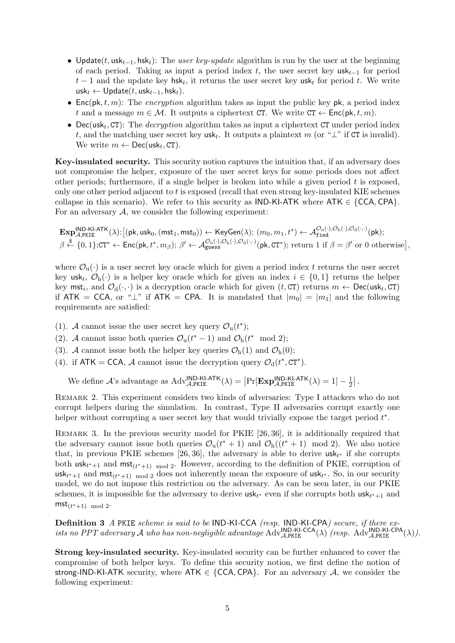- *•* Update(*t,* usk*t−*1*,* hsk*t*): The *user key-update* algorithm is run by the user at the beginning of each period. Taking as input a period index *t*, the user secret key usk*t−*<sup>1</sup> for period *t −* 1 and the update key hsk*<sup>t</sup>* , it returns the user secret key usk*<sup>t</sup>* for period *t*. We write usk*<sup>t</sup> ←* Update(*t,* usk*t−*1*,* hsk*t*).
- *•* Enc(pk*, t, m*): The *encryption* algorithm takes as input the public key pk, a period index *t* and a message  $m \in \mathcal{M}$ . It outputs a ciphertext CT. We write  $CT \leftarrow \text{Enc}(pk, t, m)$ .
- *•* Dec(usk*<sup>t</sup> ,* CT): The *decryption* algorithm takes as input a ciphertext CT under period index *t*, and the matching user secret key usk*<sup>t</sup>* . It outputs a plaintext *m* (or "*⊥*" if CT is invalid). We write  $m \leftarrow \mathsf{Dec}(\mathsf{usk}_t, \mathsf{CT}).$

**Key-insulated security.** This security notion captures the intuition that, if an adversary does not compromise the helper, exposure of the user secret keys for some periods does not affect other periods; furthermore, if a single helper is broken into while a given period *t* is exposed, only one other period adjacent to *t* is exposed (recall that even strong key-insulated KIE schemes collapse in this scenario). We refer to this security as  $IND-KI-ATK$  where  $ATK \in \{CCA,CPA\}$ . For an adversary  $A$ , we consider the following experiment:

$$
\mathbf{Exp}_{\mathcal{A},\mathsf{PKIE}}^{\mathsf{IND}\text{-}\mathsf{KL}\text{-}\mathsf{ATK}}(\lambda) : \big[(\mathsf{pk},\mathsf{usk}_0,(\mathsf{mst}_1,\mathsf{mst}_0)) \leftarrow \mathsf{KeyGen}(\lambda); (m_0,m_1,t^*) \leftarrow \mathcal{A}_{\mathtt{find}}^{\mathcal{O}_\mathrm{u}(\cdot),\mathcal{O}_\mathrm{h}(\cdot),\mathcal{O}_\mathrm{d}(\cdot,\cdot)}(\mathsf{pk});\\ \beta \stackrel{\$}{\leftarrow} \{0,1\};\mathsf{CT}^* \leftarrow \mathsf{Enc}(\mathsf{pk},t^*,m_\beta); \ \beta' \leftarrow \mathcal{A}_{\mathtt{guess}}^{\mathcal{O}_\mathrm{u}(\cdot),\mathcal{O}_\mathrm{h}(\cdot),\mathcal{O}_\mathrm{d}(\cdot,\cdot)}(\mathsf{pk},\mathsf{CT}^*); \ \text{return } 1 \ \text{if } \beta = \beta' \ \text{or } 0 \ \text{otherwise} \big],
$$

where  $\mathcal{O}_{\mathfrak{u}}(\cdot)$  is a user secret key oracle which for given a period index t returns the user secret key usk<sub>t</sub>,  $\mathcal{O}_{h}(\cdot)$  is a helper key oracle which for given an index  $i \in \{0,1\}$  returns the helper key  $m$ st<sub>i</sub>, and  $\mathcal{O}_d(\cdot, \cdot)$  is a decryption oracle which for given  $(t, CT)$  returns  $m \leftarrow \mathsf{Dec}(\mathsf{usk}_t, CT)$ if ATK = CCA, or " $\perp$ " if ATK = CPA. It is mandated that  $|m_0| = |m_1|$  and the following requirements are satisfied:

- (1). *A* cannot issue the user secret key query  $\mathcal{O}_u(t^*)$ ;
- (2). *A* cannot issue both queries  $\mathcal{O}_u(t^* 1)$  and  $\mathcal{O}_h(t^* \mod 2)$ ;
- (3). *A* cannot issue both the helper key queries  $\mathcal{O}_{h}(1)$  and  $\mathcal{O}_{h}(0)$ ;
- (4). if  $ATK = CCA$ , *A* cannot issue the decryption query  $\mathcal{O}_d(t^*, CT^*)$ .

We define *A*'s advantage as  $Adv_{\mathcal{A},\text{PKIE}}^{\text{IND-KI-ATK}}(\lambda) = \left| \Pr[\mathbf{Exp}_{\mathcal{A},\text{PKIE}}^{\text{IND-KI-ATK}}(\lambda) = 1] - \frac{1}{2}$  $\frac{1}{2}$  | .

REMARK 2. This experiment considers two kinds of adversaries: Type I attackers who do not corrupt helpers during the simulation. In contrast, Type II adversaries corrupt exactly one helper without corrupting a user secret key that would trivially expose the target period *t ∗* .

REMARK 3. In the previous security model for PKIE [26, 36], it is additionally required that the adversary cannot issue both queries  $\mathcal{O}_u(t^* + 1)$  and  $\mathcal{O}_h((t^* + 1) \mod 2)$ . We also notice that, in previous PKIE schemes [26, 36], the adversary is able to derive usk*<sup>t</sup> <sup>∗</sup>* if she corrupts both  $\text{usk}_{t^*+1}$  and  $\text{mst}_{(t^*+1) \mod 2}$ . However, according to the definition of PKIE, corruption of  $\mathsf{usk}_{t^*+1}$  and  $\mathsf{mst}_{(t^*+1) \mod 2}$  does not inherently mean the exposure of  $\mathsf{usk}_{t^*}$ . So, in our security model, we do not impose this restriction on the adversary. As can be seen later, in our PKIE schemes, it is impossible for the adversary to derive  $\mathsf{usk}_{t^*}$  even if she corrupts both  $\mathsf{usk}_{t^*+1}$  and  $mst_{(t^*+1) \mod 2}$ .

**Definition 3** *A* PKIE *scheme is said to be* IND*-*KI*-*CCA *(resp.* IND*-*KI*-*CPA*) secure, if there exists no PPT adversary A who has non-negligible advantage*  $Adv$ <sup>*NND-KI-CCA*( $\lambda$ ) *(resp.*  $Adv$ <sup>*NND-KI-CPA*( $\lambda$ )*)*.</sup></sup>

**Strong key-insulated security.** Key-insulated security can be further enhanced to cover the compromise of both helper keys. To define this security notion, we first define the notion of strong-IND-KI-ATK security, where ATK *∈ {*CCA*,* CPA*}*. For an adversary *A*, we consider the following experiment: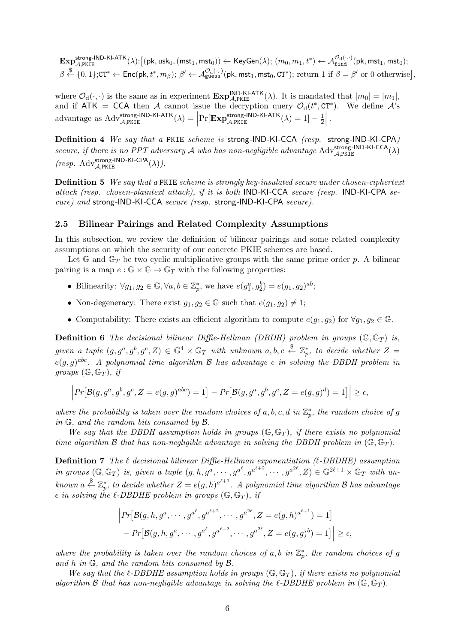$\mathbf{Exp}_{\mathcal{A},\mathtt{PKIE}}^{\mathsf{strong-IND-KI-ATK}}(\lambda) : \big[(\mathsf{pk},\mathsf{usk}_0,(\mathsf{mst}_1,\mathsf{mst}_0)) \leftarrow \mathsf{KeyGen}(\lambda); \ (m_0,m_1,t^*) \leftarrow \mathcal{A}_{\mathtt{find}}^{\mathcal{O}_\mathrm{d}(\cdot,\cdot)}(\mathsf{pk},\mathsf{mst}_1,\mathsf{mst}_0);$  $\beta \overset{\$}{\leftarrow} \{0,1\};$ CT\*  $\leftarrow$  Enc(pk,  $t^*,m_\beta);$   $\beta' \leftarrow \mathcal{A}^{\mathcal{O}_{\text{d}}(\cdot,\cdot)}_{\text{guess}}$ (pk, mst $_1,$  mst $_0,$  CT\*); return 1 if  $\beta = \beta'$  or 0 otherwise] ,

where  $\mathcal{O}_d(\cdot, \cdot)$  is the same as in experiment  $\mathbf{Exp}_{\mathcal{A}, PKIE}^{IND-KI-ATK}(\lambda)$ . It is mandated that  $|m_0| = |m_1|$ , and if  $ATK = CCA$  then *A* cannot issue the decryption query  $\mathcal{O}_d(t^*, CT^*)$ . We define *A*'s  $\text{advantage as Adv}_{\mathcal{A}, \text{PKIE}}^{\text{strong-IND-KI-ATK}}(\lambda) = \left| \Pr[\mathbf{Exp}_{\mathcal{A}, \text{PKIE}}^{\text{strong-IND-KI-ATK}}(\lambda) = 1] - \frac{1}{2}$ 2 *.*

**Definition 4** *We say that a* PKIE *scheme is* strong*-*IND*-*KI*-*CCA *(resp.* strong*-*IND*-*KI*-*CPA*) secure, if there is no PPT adversary A who has non-negligible advantage*  $Adv_{A,PRE}^{strong-IND-KI-CCA}(\lambda)$  $(resp. Adv<sub>A,PE</sub><sup>strong-IND-KI-CPA</sup>(\lambda)).$ 

**Definition 5** *We say that a* PKIE *scheme is strongly key-insulated secure under chosen-ciphertext attack (resp. chosen-plaintext attack), if it is both* IND*-*KI*-*CCA *secure (resp.* IND*-*KI*-*CPA *secure) and* strong*-*IND*-*KI*-*CCA *secure (resp.* strong*-*IND*-*KI*-*CPA *secure).*

# **2.5 Bilinear Pairings and Related Complexity Assumptions**

In this subsection, we review the definition of bilinear pairings and some related complexity assumptions on which the security of our concrete PKIE schemes are based.

Let  $\mathbb{G}$  and  $\mathbb{G}_T$  be two cyclic multiplicative groups with the same prime order  $p$ . A bilinear pairing is a map  $e : \mathbb{G} \times \mathbb{G} \to \mathbb{G}_T$  with the following properties:

- Bilinearity:  $\forall g_1, g_2 \in \mathbb{G}, \forall a, b \in \mathbb{Z}_p^*$ , we have  $e(g_1^a, g_2^b) = e(g_1, g_2)^{ab}$ ;
- Non-degeneracy: There exist  $g_1, g_2 \in \mathbb{G}$  such that  $e(g_1, g_2) \neq 1$ ;
- Computability: There exists an efficient algorithm to compute  $e(g_1, g_2)$  for  $\forall g_1, g_2 \in \mathbb{G}$ .

**Definition 6** *The decisional bilinear Diffie-Hellman (DBDH) problem in groups*  $(\mathbb{G}, \mathbb{G}_T)$  *is,* given a tuple  $(g, g^a, g^b, g^c, Z) \in \mathbb{G}^4 \times \mathbb{G}_T$  with unknown  $a, b, c \stackrel{\$}{\leftarrow} \mathbb{Z}_p^*$ , to decide whether  $Z =$  $e(g,g)^{abc}$ . A polynomial time algorithm  $\mathcal B$  has advantage  $\epsilon$  in solving the DBDH problem in *groups*  $(\mathbb{G}, \mathbb{G}_T)$ *, if* 

$$
\left| Pr[\mathcal{B}(g, g^a, g^b, g^c, Z = e(g, g)^{abc}) = 1] - Pr[\mathcal{B}(g, g^a, g^b, g^c, Z = e(g, g)^d) = 1] \right| \ge \epsilon,
$$

*where the probability is taken over the random choices of*  $a, b, c, d$  *in*  $\mathbb{Z}_p^*$ *, the random choice of*  $g$ *in* G*, and the random bits consumed by B.*

*We say that the DBDH assumption holds in groups* (G*,* G*<sup>T</sup>* )*, if there exists no polynomial time algorithm B that has non-negligible advantage in solving the DBDH problem in*  $(\mathbb{G}, \mathbb{G}_T)$ *.* 

**Definition 7** *The ℓ decisional bilinear Diffie-Hellman exponentiation (ℓ-DBDHE) assumption* in groups  $(\mathbb{G}, \mathbb{G}_T)$  is, given a tuple  $(g, h, g^a, \dots, g^{a^\ell}, g^{a^{\ell+2}}, \dots, g^{a^{2\ell}}, Z) \in \mathbb{G}^{2\ell+1} \times \mathbb{G}_T$  with un $k$ nown  $a \stackrel{\$}{\leftarrow} \mathbb{Z}_p^*$ , to decide whether  $Z = e(g, h)^{a^{\ell+1}}$ . A polynomial time algorithm  $\mathcal B$  has advantage  $\epsilon$  *in solving the*  $\ell$ *-DBDHE problem in groups* ( $\mathbb{G}, \mathbb{G}_T$ ), *if* 

$$
\left| Pr[\mathcal{B}(g, h, g^a, \cdots, g^{a^{\ell}}, g^{a^{\ell+2}}, \cdots, g^{a^{2\ell}}, Z = e(g, h)^{a^{\ell+1}}) = 1] \right|
$$
  
- 
$$
Pr[\mathcal{B}(g, h, g^a, \cdots, g^{a^{\ell}}, g^{a^{\ell+2}}, \cdots, g^{a^{2\ell}}, Z = e(g, g)^b) = 1] \right| \ge \epsilon,
$$

*where the probability is taken over the random choices of*  $a, b$  *in*  $\mathbb{Z}_p^*$ *, the random choices of*  $g$ *and h in* G*, and the random bits consumed by B.*

*We say that the*  $\ell$ -DBDHE assumption holds in groups ( $\mathbb{G}, \mathbb{G}_T$ ), if there exists no polynomial *algorithm*  $\beta$  *that has non-negligible advantage in solving the*  $\ell$ *-DBDHE problem in* ( $\mathbb{G}, \mathbb{G}_T$ )*.*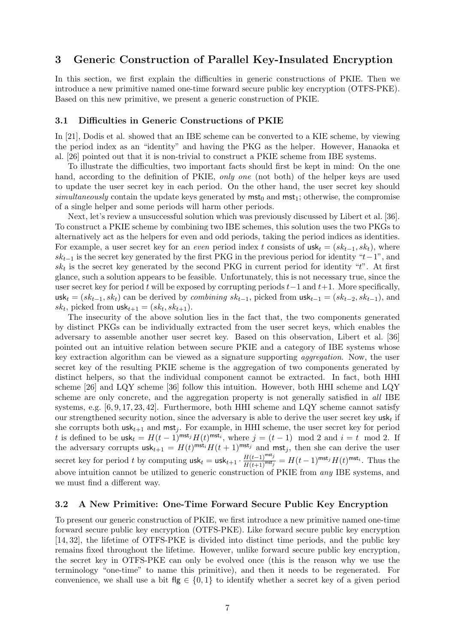# **3 Generic Construction of Parallel Key-Insulated Encryption**

In this section, we first explain the difficulties in generic constructions of PKIE. Then we introduce a new primitive named one-time forward secure public key encryption (OTFS-PKE). Based on this new primitive, we present a generic construction of PKIE.

# **3.1 Difficulties in Generic Constructions of PKIE**

In [21], Dodis et al. showed that an IBE scheme can be converted to a KIE scheme, by viewing the period index as an "identity" and having the PKG as the helper. However, Hanaoka et al. [26] pointed out that it is non-trivial to construct a PKIE scheme from IBE systems.

To illustrate the difficulties, two important facts should first be kept in mind: On the one hand, according to the definition of PKIE, *only one* (not both) of the helper keys are used to update the user secret key in each period. On the other hand, the user secret key should *simultaneously* contain the update keys generated by  $mst<sub>0</sub>$  and  $mst<sub>1</sub>$ ; otherwise, the compromise of a single helper and some periods will harm other periods.

Next, let's review a unsuccessful solution which was previously discussed by Libert et al. [36]. To construct a PKIE scheme by combining two IBE schemes, this solution uses the two PKGs to alternatively act as the helpers for even and odd periods, taking the period indices as identities. For example, a user secret key for an *even* period index *t* consists of  $\text{usk}_t = (sk_{t-1}, sk_t)$ , where  $sk_{t-1}$  is the secret key generated by the first PKG in the previous period for identity " $t-1$ ", and *sk<sup>t</sup>* is the secret key generated by the second PKG in current period for identity "*t*". At first glance, such a solution appears to be feasible. Unfortunately, this is not necessary true, since the user secret key for period *t* will be exposed by corrupting periods *t−*1 and *t*+1. More specifically, usk<sub>t</sub> =  $(sk_{t-1}, sk_t)$  can be derived by *combining*  $sk_{t-1}$ , picked from  $usk_{t-1} = (sk_{t-2}, sk_{t-1})$ , and  $sk_t$ , picked from  $\textsf{usk}_{t+1} = (sk_t, sk_{t+1}).$ 

The insecurity of the above solution lies in the fact that, the two components generated by distinct PKGs can be individually extracted from the user secret keys, which enables the adversary to assemble another user secret key. Based on this observation, Libert et al. [36] pointed out an intuitive relation between secure PKIE and a category of IBE systems whose key extraction algorithm can be viewed as a signature supporting *aggregation*. Now, the user secret key of the resulting PKIE scheme is the aggregation of two components generated by distinct helpers, so that the individual component cannot be extracted. In fact, both HHI scheme [26] and LQY scheme [36] follow this intuition. However, both HHI scheme and LQY scheme are only concrete, and the aggregation property is not generally satisfied in *all* IBE systems, e.g.  $[6, 9, 17, 23, 42]$ . Furthermore, both HHI scheme and LQY scheme cannot satisfy our strengthened security notion, since the adversary is able to derive the user secret key  $\mathsf{usk}_t$  if she corrupts both  $usk_{t+1}$  and  $mst_j$ . For example, in HHI scheme, the user secret key for period *t* is defined to be  $\textsf{usk}_t = H(t-1)^{\textsf{mst}_j}H(t)^{\textsf{mst}_i}$ , where  $j = (t-1) \mod 2$  and  $i = t \mod 2$ . If the adversary corrupts  $\text{usk}_{t+1} = H(t)^{\text{mst}_i}H(t+1)^{\text{mst}_j}$  and  $\text{mst}_j$ , then she can derive the user secret key for period t by computing  $\mathsf{usk}_t = \mathsf{usk}_{t+1} \cdot \frac{H(t-1)^{\mathsf{mst}_j}}{H(t+1)^{\mathsf{mst}_j}} = H(t-1)^{\mathsf{mst}_j} H(t)^{\mathsf{mst}_i}$ . Thus the above intuition cannot be utilized to generic construction of PKIE from *any* IBE systems, and we must find a different way.

# **3.2 A New Primitive: One-Time Forward Secure Public Key Encryption**

To present our generic construction of PKIE, we first introduce a new primitive named one-time forward secure public key encryption (OTFS-PKE). Like forward secure public key encryption [14, 32], the lifetime of OTFS-PKE is divided into distinct time periods, and the public key remains fixed throughout the lifetime. However, unlike forward secure public key encryption, the secret key in OTFS-PKE can only be evolved once (this is the reason why we use the terminology "one-time" to name this primitive), and then it needs to be regenerated. For convenience, we shall use a bit  $f|g \in \{0,1\}$  to identify whether a secret key of a given period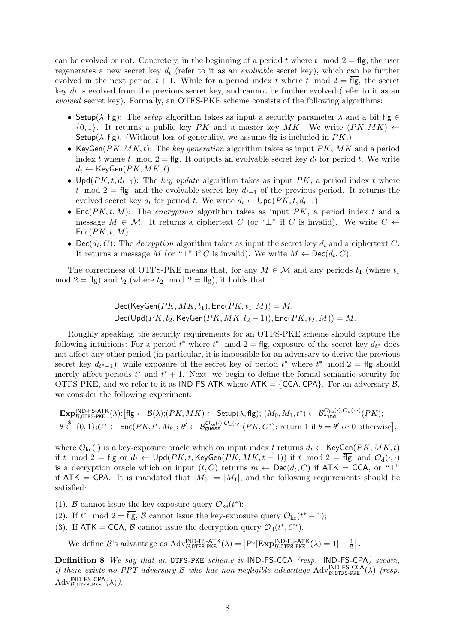can be evolved or not. Concretely, in the beginning of a period  $t$  where  $t \mod 2 = \text{fig}$ , the user regenerates a new secret key *d<sup>t</sup>* (refer to it as an *evolvable* secret key), which can be further evolved in the next period  $t + 1$ . While for a period index t where t mod  $2 = \overline{f} \overline{g}$ , the secret key  $d_t$  is evolved from the previous secret key, and cannot be further evolved (refer to it as an *evolved* secret key). Formally, an OTFS-PKE scheme consists of the following algorithms:

- Setup( $\lambda$ , flg): The *setup* algorithm takes as input a security parameter  $\lambda$  and a bit flg  $\in$  $\{0,1\}$ . It returns a public key *PK* and a master key *MK*. We write  $(PK, MK)$   $\leftarrow$ Setup( $\lambda$ , flg). (Without loss of generality, we assume flg is included in *PK*.)
- *•* KeyGen(*PK, MK, t*): The *key generation* algorithm takes as input *PK*, *MK* and a period index *t* where *t* mod  $2 =$  flg. It outputs an evolvable secret key  $d_t$  for period *t*. We write  $d_t \leftarrow \mathsf{KeyGen}(PK, MK, t).$
- *•* Upd(*PK, t, dt−*1): The *key update* algorithm takes as input *PK*, a period index *t* where *t* mod  $2 = \overline{f} \cdot g$ , and the evolvable secret key  $d_{t-1}$  of the previous period. It returns the evolved secret key  $d_t$  for period  $t$ . We write  $d_t \leftarrow \text{Upd}(PK, t, d_{t-1})$ .
- *•* Enc(*PK, t, M*): The *encryption* algorithm takes as input *PK*, a period index *t* and a message  $M \in \mathcal{M}$ . It returns a ciphertext *C* (or "*⊥*" if *C* is invalid). We write  $C \leftarrow$ Enc(*PK, t, M*).
- Dec( $d_t$ , *C*): The *decryption* algorithm takes as input the secret key  $d_t$  and a ciphertext *C*. It returns a message *M* (or " $\perp$ " if *C* is invalid). We write  $M \leftarrow \text{Dec}(d_t, C)$ .

The correctness of OTFS-PKE means that, for any  $M \in \mathcal{M}$  and any periods  $t_1$  (where  $t_1$ ) mod  $2 = \text{fig}$ ) and  $t_2$  (where  $t_2$  mod  $2 = \overline{\text{fig}}$ ), it holds that

$$
\text{Dec}(\text{KeyGen}(PK, MK, t_1), \text{Enc}(PK, t_1, M)) = M,
$$
  

$$
\text{Dec}(\text{Upd}(PK, t_2, \text{KeyGen}(PK, MK, t_2 - 1)), \text{Enc}(PK, t_2, M)) = M.
$$

Roughly speaking, the security requirements for an OTFS-PKE scheme should capture the following intuitions: For a period  $t^*$  where  $t^*$  mod  $2 = \text{fig}$ , exposure of the secret key  $d_{t^*}$  does not affect any other period (in particular, it is impossible for an adversary to derive the previous secret key  $d_{t^*-1}$ ); while exposure of the secret key of period  $t^*$  where  $t^*$  mod  $2 = \text{fig}$  should merely affect periods  $t^*$  and  $t^* + 1$ . Next, we begin to define the formal semantic security for OTFS-PKE, and we refer to it as IND-FS-ATK where  $ATK = \{CCA,CPA\}$ . For an adversary  $B$ , we consider the following experiment:

$$
\mathbf{Exp}_{\mathcal{B},\mathtt{OTFS-PKE}}^{\mathsf{IND}\text{-}\mathsf{FS-ATK}}(\lambda):[\mathsf{flg}\leftarrow \mathcal{B}(\lambda);(PK, MK)\leftarrow \mathsf{Setup}(\lambda,\mathsf{flg}); (M_0,M_1,t^*)\leftarrow \mathcal{B}_{\mathtt{find}}^{\mathcal{O}_{\ker}(\cdot),\mathcal{O}_{\mathrm{d}}(\cdot,\cdot)}(PK);\\ \theta \stackrel{\$}{\leftarrow} \{0,1\};C^* \leftarrow \mathsf{Enc}(PK,t^*,M_{\theta}); \ \theta' \leftarrow \mathcal{B}_{\mathtt{guess}}^{\mathcal{O}_{\ker}(\cdot),\mathcal{O}_{\mathrm{d}}(\cdot,\cdot)}(PK,C^*); \ \text{return 1 if } \theta = \theta' \text{ or } 0 \text{ otherwise}],
$$

where  $\mathcal{O}_{ke}(\cdot)$  is a key-exposure oracle which on input index *t* returns  $d_t \leftarrow \text{KeyGen}(PK, MK, t)$ if *t* mod  $2 =$  flg or  $d_t \leftarrow$  Upd( $PK, t$ , KeyGen( $PK, MK, t - 1$ )) if *t* mod  $2 =$   $\overline{flg}$ , and  $\mathcal{O}_d(\cdot, \cdot)$ is a decryption oracle which on input  $(t, C)$  returns  $m \leftarrow \mathsf{Dec}(d_t, C)$  if  $\mathsf{ATK} = \mathsf{CCA},$  or " $\perp$ " if  $ATK = CPA$ . It is mandated that  $|M_0| = |M_1|$ , and the following requirements should be satisfied:

(1). *B* cannot issue the key-exposure query  $\mathcal{O}_{\rm ke}(t^*)$ ;

- (2). If  $t^* \mod 2 = \text{fig}, \mathcal{B}$  cannot issue the key-exposure query  $\mathcal{O}_{\text{ke}}(t^* 1);$
- (3). If  $ATK = CCA$ ,  $\beta$  cannot issue the decryption query  $\mathcal{O}_d(t^*, C^*)$ .

We define *B*'s advantage as  $Adv_{B,0TFS-PKE}^{IND-FS-ATK}(\lambda) = \left| \Pr[\mathbf{Exp}_{B,0TFS-PKE}^{IND-FS-ATK}(\lambda) = 1] - \frac{1}{2}$  $\frac{1}{2}$ .

**Definition 8** *We say that an* OTFS*-*PKE *scheme is* IND*-*FS*-*CCA *(resp.* IND*-*FS*-*CPA*) secure, if there exists no PPT adversary*  $B$  *who has non-negligible advantage*  $\text{Adv}^{\text{IND-FS-CCA}}_{B,\text{OTFS-PKE}}(\lambda)$  (resp.  $\mathrm{Adv}_{\mathcal{B},\texttt{OTFS-PKE}}^{\textsf{IND-FS-CPA}}(\lambda)).$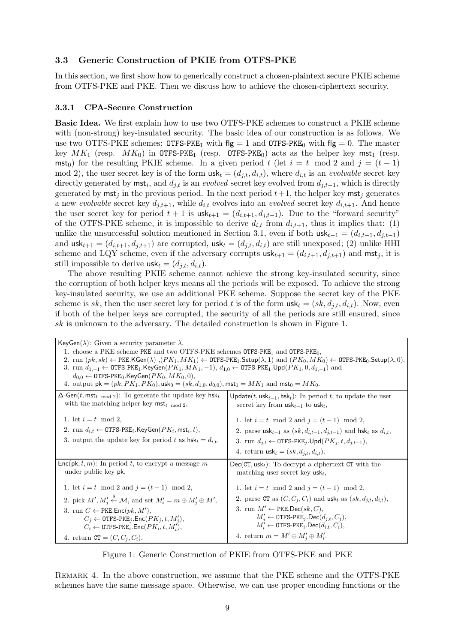# **3.3 Generic Construction of PKIE from OTFS-PKE**

In this section, we first show how to generically construct a chosen-plaintext secure PKIE scheme from OTFS-PKE and PKE. Then we discuss how to achieve the chosen-ciphertext security.

## **3.3.1 CPA-Secure Construction**

**Basic Idea.** We first explain how to use two OTFS-PKE schemes to construct a PKIE scheme with (non-strong) key-insulated security. The basic idea of our construction is as follows. We use two OTFS-PKE schemes:  $\text{OTFS-PKE}_1$  with flg = 1 and  $\text{OTFS-PKE}_0$  with flg = 0. The master key  $MK_1$  (resp.  $MK_0$ ) in OTFS-PKE<sub>1</sub> (resp. OTFS-PKE<sub>0</sub>) acts as the helper key mst<sub>1</sub> (resp. mst<sub>0</sub>) for the resulting PKIE scheme. In a given period *t* (let  $i = t \mod 2$  and  $j = (t - 1)$ mod 2), the user secret key is of the form  $usk_t = (d_{j,t}, d_{i,t})$ , where  $d_{i,t}$  is an *evolvable* secret key directly generated by  $mst_i$ , and  $d_{j,t}$  is an *evolved* secret key evolved from  $d_{j,t-1}$ , which is directly generated by  $mst<sub>j</sub>$  in the previous period. In the next period  $t+1$ , the helper key mst<sub>j</sub> generates a new *evolvable* secret key  $d_{j,t+1}$ , while  $d_{i,t}$  evolves into an *evolved* secret key  $d_{i,t+1}$ . And hence the user secret key for period  $t + 1$  is  $\text{usk}_{t+1} = (d_{i,t+1}, d_{i,t+1})$ . Due to the "forward security" of the OTFS-PKE scheme, it is impossible to derive  $d_{i,t}$  from  $d_{i,t+1}$ , thus it implies that: (1) unlike the unsuccessful solution mentioned in Section 3.1, even if both  $\textsf{usk}_{t-1} = (d_{i,t-1}, d_{j,t-1})$ and  $\text{usk}_{t+1} = (d_{i,t+1}, d_{j,t+1})$  are corrupted,  $\text{usk}_t = (d_{j,t}, d_{i,t})$  are still unexposed; (2) unlike HHI scheme and LQY scheme, even if the adversary corrupts  $\text{usk}_{t+1} = (d_{i,t+1}, d_{j,t+1})$  and  $\text{mst}_j$ , it is still impossible to derive  $usk_t = (d_{i,t}, d_{i,t}).$ 

The above resulting PKIE scheme cannot achieve the strong key-insulated security, since the corruption of both helper keys means all the periods will be exposed. To achieve the strong key-insulated security, we use an additional PKE scheme. Suppose the secret key of the PKE scheme is *sk*, then the user secret key for period t is of the form  $\text{usk}_t = (sk, d_{i,t}, d_{i,t})$ . Now, even if both of the helper keys are corrupted, the security of all the periods are still ensured, since *sk* is unknown to the adversary. The detailed construction is shown in Figure 1.

| KeyGen( $\lambda$ ): Given a security parameter $\lambda$ ,                                                                                                                                                                                                                                                                                                                                                                                                                                                                                                                                                                                                                       |                                                                                                                                                                                                                                                                                                  |  |
|-----------------------------------------------------------------------------------------------------------------------------------------------------------------------------------------------------------------------------------------------------------------------------------------------------------------------------------------------------------------------------------------------------------------------------------------------------------------------------------------------------------------------------------------------------------------------------------------------------------------------------------------------------------------------------------|--------------------------------------------------------------------------------------------------------------------------------------------------------------------------------------------------------------------------------------------------------------------------------------------------|--|
| 1. choose a PKE scheme PKE and two OTFS-PKE schemes $OTFS-PKE_1$ and $OTFS-PKE_0$ ,<br>2. run $(pk, sk) \leftarrow \text{PKE.KGen}(\lambda)$ , $(PK_1, MK_1) \leftarrow \text{OTFS-PKE}_1$ . Setup $(\lambda, 1)$ and $(PK_0, MK_0) \leftarrow \text{OTFS-PKE}_0$ . Setup $(\lambda, 0)$ ,<br>3. run $d_{1,-1} \leftarrow$ OTFS-PKE <sub>1</sub> .KeyGen( $PK_1, MK_1, -1$ ), $d_{1,0} \leftarrow$ OTFS-PKE <sub>1</sub> .Upd( $PK_1, 0, d_{1,-1}$ ) and<br>$d_{0,0} \leftarrow$ OTFS-PKE <sub>0</sub> .KeyGen( $PK_0, MK_0, 0$ ),<br>4. output $pk = (pk, PK_1, PK_0)$ , usk <sub>0</sub> = $(sk, d_{1,0}, d_{0,0})$ , mst <sub>1</sub> = $MK_1$ and mst <sub>0</sub> = $MK_0$ . |                                                                                                                                                                                                                                                                                                  |  |
| $\Delta$ -Gen(t, mst <sub>t mod 2</sub> ): To generate the update key hsk <sub>t</sub>                                                                                                                                                                                                                                                                                                                                                                                                                                                                                                                                                                                            | Update(t, $usk_{t-1}$ , hsk <sub>t</sub> ): In period t, to update the user                                                                                                                                                                                                                      |  |
| with the matching helper key $mst_{t \mod 2}$ ,                                                                                                                                                                                                                                                                                                                                                                                                                                                                                                                                                                                                                                   | secret key from $usk_{t-1}$ to usk <sub>t</sub> ,                                                                                                                                                                                                                                                |  |
| 1. let $i = t \mod 2$ ,<br>2. run $d_{i,t} \leftarrow$ OTFS-PKE <sub>i</sub> .KeyGen( $PK_i$ , mst <sub>i</sub> , t),<br>3. output the update key for period t as $hsk_t = d_{i,t}$ .                                                                                                                                                                                                                                                                                                                                                                                                                                                                                             | 1. let $i = t \mod 2$ and $j = (t - 1) \mod 2$ ,<br>2. parse $\textsf{usk}_{t-1}$ as $(sk, d_{i,t-1}, d_{i,t-1})$ and $\textsf{hsk}_t$ as $d_{i,t}$ ,<br>3. run $d_{i,t} \leftarrow$ OTFS-PKE <sub>j</sub> .Upd( $PK_j, t, d_{i,t-1}$ ),<br>4. return $\textsf{usk}_t = (sk, d_{i,t}, d_{i,t}).$ |  |
| $Enc(\mathsf{pk}, t, m)$ : In period t, to encrypt a message m                                                                                                                                                                                                                                                                                                                                                                                                                                                                                                                                                                                                                    | $Dec(CT,usk_t)$ : To decrypt a ciphertext CT with the                                                                                                                                                                                                                                            |  |
| under public key pk,                                                                                                                                                                                                                                                                                                                                                                                                                                                                                                                                                                                                                                                              | matching user secret key $usk_t$ ,                                                                                                                                                                                                                                                               |  |
| 1. let $i = t \mod 2$ and $j = (t - 1) \mod 2$ ,                                                                                                                                                                                                                                                                                                                                                                                                                                                                                                                                                                                                                                  | 1. let $i = t \mod 2$ and $j = (t - 1) \mod 2$ ,                                                                                                                                                                                                                                                 |  |
| 2. pick $M', M'_i \stackrel{\$}{\leftarrow} \mathcal{M}$ , and set $M'_i = m \oplus M'_i \oplus M'$ ,                                                                                                                                                                                                                                                                                                                                                                                                                                                                                                                                                                             | 2. parse CT as $(C, C_j, C_i)$ and usk <sub>t</sub> as $(sk, d_{j,t}, d_{i,t}),$                                                                                                                                                                                                                 |  |
| 3. run $C \leftarrow$ PKE. Enc $(pk, M')$ ,                                                                                                                                                                                                                                                                                                                                                                                                                                                                                                                                                                                                                                       | 3. run $M' \leftarrow$ PKE.Dec(sk, C),                                                                                                                                                                                                                                                           |  |
| $C_i \leftarrow$ OTFS-PKE <sub>j</sub> .Enc( $PK_i, t, M'_i$ ),                                                                                                                                                                                                                                                                                                                                                                                                                                                                                                                                                                                                                   | $M'_i \leftarrow$ OTFS-PKE <sub>j</sub> .Dec( $d_{j,t}, C_j$ ),                                                                                                                                                                                                                                  |  |
| $C_i \leftarrow$ OTFS-PKE <sub>i</sub> . Enc $(PK_i, t, M'_i)$ ,                                                                                                                                                                                                                                                                                                                                                                                                                                                                                                                                                                                                                  | $M'_{i} \leftarrow$ OTFS-PKE <sub>i</sub> .Dec( $d_{i,t}, C_i$ ),                                                                                                                                                                                                                                |  |
| 4. return $CT = (C, C_i, C_i)$ .                                                                                                                                                                                                                                                                                                                                                                                                                                                                                                                                                                                                                                                  | 4. return $m = M' \oplus M'_i \oplus M'_i$ .                                                                                                                                                                                                                                                     |  |

Figure 1: Generic Construction of PKIE from OTFS-PKE and PKE

Remark 4. In the above construction, we assume that the PKE scheme and the OTFS-PKE schemes have the same message space. Otherwise, we can use proper encoding functions or the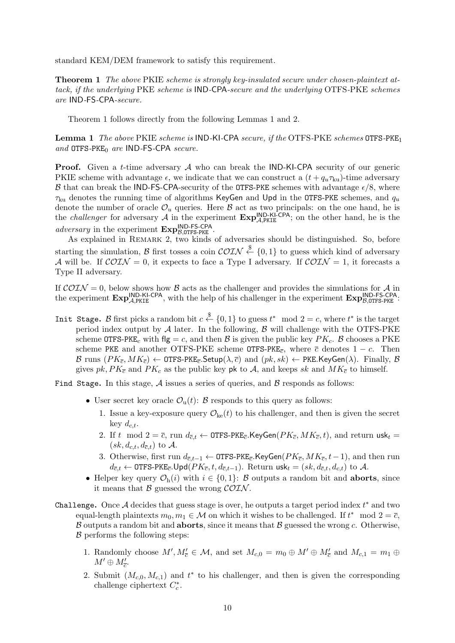standard KEM/DEM framework to satisfy this requirement.

**Theorem 1** *The above* PKIE *scheme is strongly key-insulated secure under chosen-plaintext attack, if the underlying* PKE *scheme is* IND*-*CPA*-secure and the underlying* OTFS*-*PKE *schemes are* IND*-*FS*-*CPA*-secure.*

Theorem 1 follows directly from the following Lemmas 1 and 2.

**Lemma 1** *The above* PKIE *scheme is* IND*-*KI*-*CPA *secure, if the* OTFS*-*PKE *schemes* OTFS*-*PKE<sup>1</sup> *and* OTFS*-*PKE<sup>0</sup> *are* IND*-*FS*-*CPA *secure.*

**Proof.** Given a *t*-time adversary *A* who can break the IND-KI-CPA security of our generic PKIE scheme with advantage  $\epsilon$ , we indicate that we can construct a  $(t + q_u \tau_{ku})$ -time adversary *B* that can break the IND-FS-CPA-security of the OTFS-PKE schemes with advantage  $\epsilon/8$ , where *τ*ku denotes the running time of algorithms KeyGen and Upd in the OTFS-PKE schemes, and *q<sup>u</sup>* denote the number of oracle  $\mathcal{O}_u$  queries. Here  $\mathcal B$  act as two principals: on the one hand, he is the *challenger* for adversary  $\mathcal{A}$  in the experiment  $\mathbf{Exp}_{\mathcal{A},\text{PKIE}}^{\text{IND-KI-CPA}}$ ; on the other hand, he is the *adversary* in the experiment **Exp**IND-FS-CPA *<sup>B</sup>,*OTFS-PKE .

As explained in REMARK 2, two kinds of adversaries should be distinguished. So, before starting the simulation, *B* first tosses a coin  $\mathcal{COLN} \overset{\$}{\leftarrow} \{0,1\}$  to guess which kind of adversary *A* will be. If  $\mathcal{COIN} = 0$ , it expects to face a Type I adversary. If  $\mathcal{COIN} = 1$ , it forecasts a Type II adversary.

If  $\mathcal{COIN} = 0$ , below shows how  $\mathcal B$  acts as the challenger and provides the simulations for  $\mathcal A$  in the experiment  $\mathbf{Exp}_{A,\text{PKIE}}^{\text{IND-KI-CPA}}$ , with the help of his challenger in the experiment  $\mathbf{Exp}_{B,\text{OTFS-PKE}}^{\text{IND-FS-CPA}}$ .

Init Stage. *B* first picks a random bit  $c \stackrel{\$}{\leftarrow} \{0,1\}$  to guess  $t^* \mod 2 = c$ , where  $t^*$  is the target period index output by *A* later. In the following, *B* will challenge with the OTFS-PKE scheme OTFS-PKE<sub>c</sub> with flg = c, and then  $\beta$  is given the public key  $PK_c$ .  $\beta$  chooses a PKE scheme PKE and another OTFS-PKE scheme OTFS-PKE<sub>c</sub>, where  $\bar{c}$  denotes  $1 - c$ . Then  $\mathcal{B}$  runs  $(PK_{\overline{c}}, MK_{\overline{c}}) \leftarrow$  OTFS-PKE<sub>c</sub><sup>*.*Setup( $\lambda, \overline{c}$ ) and  $(pk, sk) \leftarrow$ PKE*.KeyGen(* $\lambda$ *)*. Finally,  $\mathcal{B}$ </sup> gives  $pk$ ,  $PK<sub>c</sub>$  and  $PK<sub>c</sub>$  as the public key pk to A, and keeps sk and  $MK<sub>c</sub>$  to himself.

Find Stage**.** In this stage, *A* issues a series of queries, and *B* responds as follows:

- User secret key oracle  $\mathcal{O}_u(t)$ : *B* responds to this query as follows:
	- 1. Issue a key-exposure query  $\mathcal{O}_{ke}(t)$  to his challenger, and then is given the secret key  $d_{c,t}$ .
	- 2. If  $t \mod 2 = \overline{c}$ , run  $d_{\overline{c},t} \leftarrow$  OTFS-PKE<sub> $\overline{c}$ </sub>. KeyGen( $PK_{\overline{c}}, MK_{\overline{c}}, t$ ), and return usk<sub>t</sub> =  $(sk, d_{c,t}, d_{\overline{c},t})$  to A.
	- 3. Otherwise, first run  $d_{\bar{c},t-1}$  ← OTFS-PKE<sub> $\bar{c}$ </sub>.KeyGen( $PK_{\bar{c}}$ ,  $MK_{\bar{c}}$ ,  $t-1$ ), and then run  $d_{\overline{c},t}$  ← OTFS-PKE<sub>*c*</sub></sub>.Upd( $PK_{\overline{c}}, t, d_{\overline{c},t-1}$ ). Return usk<sub>t</sub> = (*sk, d<sub>c,t</sub>, d<sub>c,t</sub>)* to *A*.
- *•* Helper key query  $\mathcal{O}_{h}(i)$  with  $i \in \{0, 1\}$ : *B* outputs a random bit and **aborts**, since it means that *B* guessed the wrong *COIN* .
- Challenge**.** Once *A* decides that guess stage is over, he outputs a target period index *t ∗* and two equal-length plaintexts  $m_0, m_1 \in \mathcal{M}$  on which it wishes to be challenged. If  $t^* \mod 2 = \overline{c}$ , *B* outputs a random bit and **aborts**, since it means that *B* guessed the wrong *c*. Otherwise, *B* performs the following steps:
	- 1. Randomly choose  $M'$ ,  $M'_{\overline{c}} \in M$ , and set  $M_{c,0} = m_0 \oplus M' \oplus M'_{\overline{c}}$  and  $M_{c,1} = m_1 \oplus$  $M' \oplus M'_{\overline{c}}$ .
	- 2. Submit  $(M_{c,0}, M_{c,1})$  and  $t^*$  to his challenger, and then is given the corresponding challenge ciphertext  $C_c^*$ .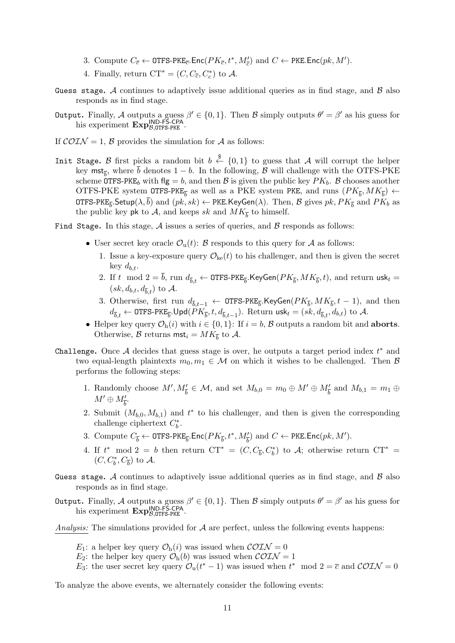- 3. Compute  $C_{\overline{c}} \leftarrow \text{OTFS-PKE}_{\overline{c}}$ .Enc $(PK_{\overline{c}}, t^*, M'_{\overline{c}})$  and  $C \leftarrow \text{PKE}$ .Enc $(pk, M')$ .
- 4. Finally, return  $CT^* = (C, C_{\overline{c}}, C_c^*)$  to A.
- Guess stage**.** *A* continues to adaptively issue additional queries as in find stage, and *B* also responds as in find stage.
- Output**.** Finally, *A* outputs a guess *β ′ ∈ {*0*,* 1*}*. Then *B* simply outputs *θ ′* = *β ′* as his guess for his experiment  $\text{Exp}_{\beta, \text{OTFS-PKE}}^{\text{IND-FS-CPA}}$ .
- If  $\mathcal{COTN} = 1$ ,  $\mathcal{B}$  provides the simulation for  $\mathcal{A}$  as follows:
- Init Stage. *B* first picks a random bit  $b \stackrel{\$}{\leftarrow} \{0,1\}$  to guess that *A* will corrupt the helper key mst<sub> $\bar{b}$ </sub>, where *b* denotes 1 *− b*. In the following, *B* will challenge with the OTFS-PKE scheme OTFS-PKE<sub>b</sub> with flg = b, and then B is given the public key  $PK_b$ . B chooses another OTFS-PKE system OTFS-PKE<sub>*b*</sub></sub> as well as a PKE system PKE, and runs  $(PK_{\overline{b}}, MK_{\overline{b}}) \leftarrow$  $\texttt{OTFS-PKE}_{\overline{b}}$ . $\textsf{Setup}(\lambda, b)$  and  $(pk, sk) \leftarrow \textsf{PKE}$ . $\textsf{KeyGen}(\lambda)$ . Then,  $\mathcal B$  gives  $pk, PK_{\overline{b}}$  and  $PK_b$  as the public key **pk** to  $A$ , and keeps *sk* and  $MK_{\overline{b}}$  to himself.
- Find Stage**.** In this stage, *A* issues a series of queries, and *B* responds as follows:
	- User secret key oracle  $\mathcal{O}_u(t)$ : *B* responds to this query for *A* as follows:
		- 1. Issue a key-exposure query  $\mathcal{O}_{ke}(t)$  to his challenger, and then is given the secret key  $d_{b,t}$ .
		- 2. If  $t \mod 2 = b$ , run  $d_{\overline{b},t} \leftarrow \texttt{OTFS-PKE}_{\overline{b}}$ . KeyGen $(PK_{\overline{b}},MK_{\overline{b}},t)$ , and return usk $_t =$  $(sk, d_{b,t}, d_{\overline{b}t})$  to A.
		- 3. Otherwise, first run  $d_{\bar{b},t-1} \leftarrow$  OTFS-PKE<sub> $\bar{b}$ </sub>.KeyGen( $PK_{\bar{b}}$ ,  $MK_{\bar{b}}$ ,  $t-1$ ), and then  $d_{\bar{b},t} \leftarrow \texttt{OTFS-PKE}_{\bar{b}}.\textsf{Upd}(PK_{\bar{b}},t,d_{\bar{b},t-1}).$  Return  $\textsf{usk}_t = (sk,d_{\bar{b},t},d_{b,t})$  to  $\mathcal{A}.$
	- *•* Helper key query *O*h(*i*) with *i ∈ {*0*,* 1*}*: If *i* = *b*, *B* outputs a random bit and **aborts**. Otherwise,  $\mathcal{B}$  returns mst<sub>i</sub> =  $MK_{\overline{b}}$  to  $\mathcal{A}$ .
- Challenge**.** Once *A* decides that guess stage is over, he outputs a target period index *t ∗* and two equal-length plaintexts  $m_0, m_1 \in \mathcal{M}$  on which it wishes to be challenged. Then  $\beta$ performs the following steps:
	- 1. Randomly choose  $M', M'_{\overline{b}} \in \mathcal{M}$ , and set  $M_{b,0} = m_0 \oplus M' \oplus M'_{\overline{b}}$  and  $M_{b,1} = m_1 \oplus$  $M' \oplus M'_{\overline{b}}$ .
	- 2. Submit  $(M_{b,0}, M_{b,1})$  and  $t^*$  to his challenger, and then is given the corresponding challenge ciphertext  $C_b^*$ .
	- 3. Compute  $C_{\overline{b}} \leftarrow \text{OTFS-PKE}_{\overline{b}}$ . Enc $(PK_{\overline{b}}, t^*, M'_{\overline{b}})$  and  $C \leftarrow \text{PKE}$ . Enc $(pk, M')$ .
	- 4. If  $t^* \mod 2 = b$  then return  $CT^* = (C, C_{\overline{b}}, C_b^*)$  to  $\mathcal{A}$ ; otherwise return  $CT^* =$  $(C, C_b^*, C_{\overline{b}})$  to  $\mathcal{A}$ .
- Guess stage**.** *A* continues to adaptively issue additional queries as in find stage, and *B* also responds as in find stage.
- Output**.** Finally, *A* outputs a guess *β ′ ∈ {*0*,* 1*}*. Then *B* simply outputs *θ ′* = *β ′* as his guess for his experiment  $\text{Exp}_{\mathcal{B},\text{OTFS-PKE}}^{\text{IND-FS-CPA}}$ .
- *Analysis:* The simulations provided for *A* are perfect, unless the following events happens:
	- *E*<sub>1</sub>: a helper key query  $\mathcal{O}_{h}(i)$  was issued when  $\mathcal{COTN} = 0$
	- *E*<sub>2</sub>: the helper key query  $\mathcal{O}_{h}(b)$  was issued when  $\mathcal{COLN} = 1$
	- *E*<sub>3</sub>: the user secret key query  $\mathcal{O}_u(t^* 1)$  was issued when  $t^*$  mod  $2 = \overline{c}$  and  $\mathcal{COTN} = 0$

To analyze the above events, we alternately consider the following events: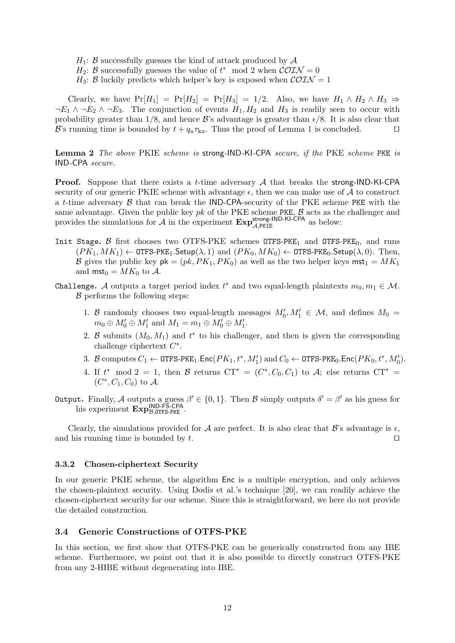- $H_1$ : *B* successfully guesses the kind of attack produced by  $A$
- *H*<sub>2</sub>: *B* successfully guesses the value of  $t^*$  mod 2 when  $\mathcal{COLN} = 0$
- *H*<sub>3</sub>: *B* luckily predicts which helper's key is exposed when  $\mathcal{CON} = 1$

Clearly, we have  $Pr[H_1] = Pr[H_2] = Pr[H_3] = 1/2$ . Also, we have  $H_1 \wedge H_2 \wedge H_3 \Rightarrow$  $\neg E_1 \land \neg E_2 \land \neg E_3$ . The conjunction of events  $H_1, H_2$  and  $H_3$  is readily seen to occur with probability greater than  $1/8$ , and hence *B*'s advantage is greater than  $\epsilon/8$ . It is also clear that *B*'s running time is bounded by  $t + q_u \tau_{ku}$ . Thus the proof of Lemma 1 is concluded.  $□$ 

**Lemma 2** *The above* PKIE *scheme is* strong*-*IND*-*KI*-*CPA *secure, if the* PKE *scheme* PKE *is* IND*-*CPA *secure.*

**Proof.** Suppose that there exists a *t*-time adversary *A* that breaks the strong-IND-KI-CPA security of our generic PKIE scheme with advantage  $\epsilon$ , then we can make use of  $\mathcal A$  to construct a *t*-time adversary *B* that can break the IND-CPA-security of the PKE scheme PKE with the same advantage. Given the public key *pk* of the PKE scheme PKE, *B* acts as the challenger and provides the simulations for  $\mathcal{A}$  in the experiment  $\mathbf{Exp}_{\mathcal{A},\text{PKIE}}^{\text{strong-IND-KI-CPA}}$  as below:

- Init Stage.  $\beta$  first chooses two OTFS-PKE schemes OTFS-PKE<sub>1</sub> and OTFS-PKE<sub>0</sub>, and runs  $(PK_1, MK_1) \leftarrow$  OTFS-PKE<sub>1</sub>. Setup( $\lambda$ , 1) and  $(PK_0, MK_0) \leftarrow$  OTFS-PKE<sub>0</sub>. Setup( $\lambda$ , 0). Then, *B* gives the public key  $pk = (pk, PK_1, PK_0)$  as well as the two helper keys  $mst_1 = MK_1$ and  $mst_0 = MK_0$  to A.
- Challenge. *A* outputs a target period index  $t^*$  and two equal-length plaintexts  $m_0, m_1 \in \mathcal{M}$ . *B* performs the following steps:
	- 1. *B* randomly chooses two equal-length messages  $M'_0, M'_1 \in \mathcal{M}$ , and defines  $M_0 =$  $m_0 \oplus M'_0 \oplus M'_1$  and  $M_1 = m_1 \oplus M'_0 \oplus M'_1$ .
	- 2. *B* submits  $(M_0, M_1)$  and  $t^*$  to his challenger, and then is given the corresponding challenge ciphertext *C ∗* .
	- 3. *B* computes  $C_1 \leftarrow \texttt{OTFS-PKE}_1$ .Enc $(PK_1, t^*, M'_1)$  and  $C_0 \leftarrow \texttt{OTFS-PKE}_0$ .Enc $(PK_0, t^*, M'_0)$ .
	- 4. If  $t^* \mod 2 = 1$ , then  $\mathcal{B}$  returns  $CT^* = (C^*, C_0, C_1)$  to  $\mathcal{A}$ ; else returns  $CT^* =$  $(C^*, C_1, C_0)$  to  $\mathcal{A}$ .
- Output**.** Finally, *A* outputs a guess *β ′ ∈ {*0*,* 1*}*. Then *B* simply outputs *δ ′* = *β ′* as his guess for his experiment  $\text{Exp}_{\beta, \text{OTFS-PKE}}^{\text{IND-FS-CPA}}$ .

Clearly, the simulations provided for *A* are perfect. It is also clear that *B*'s advantage is  $\epsilon$ , and his running time is bounded by *t*. *⊔⊓*

#### **3.3.2 Chosen-ciphertext Security**

In our generic PKIE scheme, the algorithm Enc is a multiple encryption, and only achieves the chosen-plaintext security. Using Dodis et al.'s technique [20], we can readily achieve the chosen-ciphertext security for our scheme. Since this is straightforward, we here do not provide the detailed construction.

# **3.4 Generic Constructions of OTFS-PKE**

In this section, we first show that OTFS-PKE can be generically constructed from any IBE scheme. Furthermore, we point out that it is also possible to directly construct OTFS-PKE from any 2-HIBE without degenerating into IBE.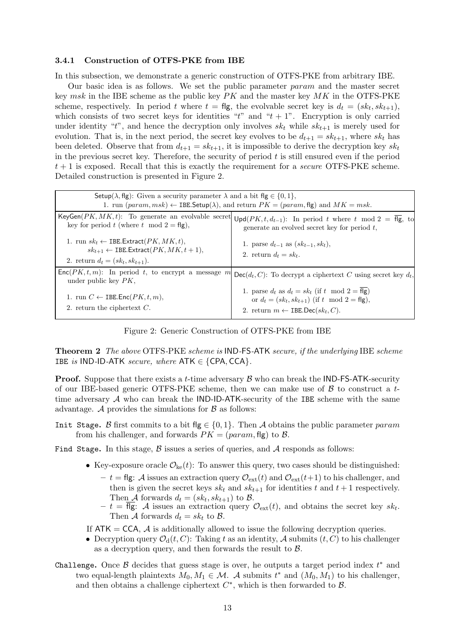## **3.4.1 Construction of OTFS-PKE from IBE**

In this subsection, we demonstrate a generic construction of OTFS-PKE from arbitrary IBE.

Our basic idea is as follows. We set the public parameter *param* and the master secret key *msk* in the IBE scheme as the public key *PK* and the master key *MK* in the OTFS-PKE scheme, respectively. In period *t* where  $t = \text{flg}$ , the evolvable secret key is  $d_t = (sk_t, sk_{t+1}),$ which consists of two secret keys for identities " $t$ " and " $t + 1$ ". Encryption is only carried under identity "*t*", and hence the decryption only involves  $sk_t$  while  $sk_{t+1}$  is merely used for evolution. That is, in the next period, the secret key evolves to be  $d_{t+1} = sk_{t+1}$ , where  $sk_t$  has been deleted. Observe that from  $d_{t+1} = sk_{t+1}$ , it is impossible to derive the decryption key  $sk_t$ in the previous secret key. Therefore, the security of period *t* is still ensured even if the period *t* + 1 is exposed. Recall that this is exactly the requirement for a *secure* OTFS-PKE scheme. Detailed construction is presented in Figure 2.

| Setup( $\lambda$ , flg): Given a security parameter $\lambda$ and a bit flg $\in \{0,1\}$ ,<br>1. run $(param, msk) \leftarrow$ IBE. Setup( $\lambda$ ), and return $PK = (param, \text{fig})$ and $MK = msk$ . |                                                                                                                                                                                                    |  |
|-----------------------------------------------------------------------------------------------------------------------------------------------------------------------------------------------------------------|----------------------------------------------------------------------------------------------------------------------------------------------------------------------------------------------------|--|
| key for period t (where t mod $2 = f(g)$ ,                                                                                                                                                                      | KeyGen $(PK, MK, t)$ : To generate an evolvable secret $\bigcup pd(PK, t, d_{t-1})$ : In period t where t mod $2 = \overline{fl}g$ , to<br>generate an evolved secret key for period $t$ ,         |  |
| 1. run $sk_t \leftarrow$ IBE. Extract( $PK, MK, t$ ),<br>$sk_{t+1} \leftarrow$ IBE.Extract( $PK, MK, t+1$ ),<br>2. return $d_t = (sk_t, sk_{t+1}).$                                                             | 1. parse $d_{t-1}$ as $(sk_{t-1}, sk_t)$ ,<br>2. return $d_t = sk_t$ .                                                                                                                             |  |
| $Enc(PK, t, m)$ : In period t, to encrypt a message m<br>under public key $PK$ ,                                                                                                                                | $Dec(d_t, C)$ : To decrypt a ciphertext C using secret key $d_t$ ,                                                                                                                                 |  |
| 1. run $C \leftarrow$ IBE.Enc( $PK, t, m$ ),<br>2. return the ciphertext $C$ .                                                                                                                                  | 1. parse $d_t$ as $d_t = sk_t$ (if t mod $2 = \overline{f} \overline{fg}$ )<br>or $d_t = (sk_t, sk_{t+1})$ (if t mod $2 = \text{fig}$ ),<br>2. return $m \leftarrow$ IBE.Dec(sk <sub>t</sub> , C). |  |

Figure 2: Generic Construction of OTFS-PKE from IBE

**Theorem 2** *The above* OTFS*-*PKE *scheme is* IND*-*FS*-*ATK *secure, if the underlying* IBE *scheme* IBE *is* IND-ID-ATK *secure, where*  $ATK \in \{CPA, CCA\}$ *.* 

**Proof.** Suppose that there exists a *t*-time adversary *B* who can break the IND-FS-ATK-security of our IBE-based generic OTFS-PKE scheme, then we can make use of *B* to construct a *t*time adversary *A* who can break the IND-ID-ATK-security of the IBE scheme with the same advantage.  $\mathcal A$  provides the simulations for  $\mathcal B$  as follows:

- Init Stage**.** *B* first commits to a bit flg *∈ {*0*,* 1*}*. Then *A* obtains the public parameter *param* from his challenger, and forwards  $PK = (param, \text{fig})$  to  $\beta$ .
- Find Stage**.** In this stage, *B* issues a series of queries, and *A* responds as follows:
	- Key-exposure oracle  $\mathcal{O}_{\rm ke}(t)$ : To answer this query, two cases should be distinguished:
		- $t$  = flg: A issues an extraction query  $\mathcal{O}_{ext}(t)$  and  $\mathcal{O}_{ext}(t+1)$  to his challenger, and then is given the secret keys  $sk_t$  and  $sk_{t+1}$  for identities  $t$  and  $t+1$  respectively. Then *A* forwards  $d_t = (sk_t, sk_{t+1})$  to *B*.
		- $-t = \text{fig: } A$  issues an extraction query  $\mathcal{O}_{ext}(t)$ , and obtains the secret key  $sk_t$ . Then *A* forwards  $d_t = sk_t$  to *B*.
	- If  $ATK = CCA$ ,  $\vec{A}$  is additionally allowed to issue the following decryption queries.
	- Decryption query  $\mathcal{O}_d(t, C)$ : Taking *t* as an identity, *A* submits  $(t, C)$  to his challenger as a decryption query, and then forwards the result to *B*.
- Challenge**.** Once *B* decides that guess stage is over, he outputs a target period index *t ∗* and two equal-length plaintexts  $M_0, M_1 \in \mathcal{M}$ . *A* submits  $t^*$  and  $(M_0, M_1)$  to his challenger, and then obtains a challenge ciphertext *C ∗* , which is then forwarded to *B*.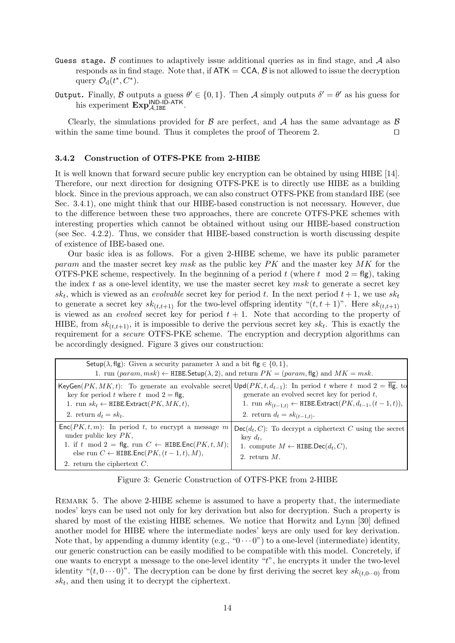- Guess stage**.** *B* continues to adaptively issue additional queries as in find stage, and *A* also responds as in find stage. Note that, if  $ATK = CCA$ ,  $\beta$  is not allowed to issue the decryption query  $\mathcal{O}_d(t^*, C^*)$ .
- Output**.** Finally, *B* outputs a guess *θ ′ ∈ {*0*,* 1*}*. Then *A* simply outputs *δ ′* = *θ ′* as his guess for his experiment  $\text{Exp}_{\mathcal{A},\text{IBE}}^{\text{IND-ID-ATK}}$ .

Clearly, the simulations provided for *B* are perfect, and *A* has the same advantage as *B* within the same time bound. Thus it completes the proof of Theorem 2. *⊔⊓*

#### **3.4.2 Construction of OTFS-PKE from 2-HIBE**

It is well known that forward secure public key encryption can be obtained by using HIBE [14]. Therefore, our next direction for designing OTFS-PKE is to directly use HIBE as a building block. Since in the previous approach, we can also construct OTFS-PKE from standard IBE (see Sec. 3.4.1), one might think that our HIBE-based construction is not necessary. However, due to the difference between these two approaches, there are concrete OTFS-PKE schemes with interesting properties which cannot be obtained without using our HIBE-based construction (see Sec. 4.2.2). Thus, we consider that HIBE-based construction is worth discussing despite of existence of IBE-based one.

Our basic idea is as follows. For a given 2-HIBE scheme, we have its public parameter *param* and the master secret key *msk* as the public key *PK* and the master key *MK* for the OTFS-PKE scheme, respectively. In the beginning of a period  $t$  (where  $t \mod 2 = \text{fg}$ ), taking the index *t* as a one-level identity, we use the master secret key *msk* to generate a secret key  $sk_t$ , which is viewed as an *evolvable* secret key for period *t*. In the next period  $t + 1$ , we use  $sk_t$ to generate a secret key  $sk_{(t,t+1)}$  for the two-level offspring identity " $(t, t+1)$ ". Here  $sk_{(t,t+1)}$ is viewed as an *evolved* secret key for period  $t + 1$ . Note that according to the property of HIBE, from  $sk_{(t,t+1)}$ , it is impossible to derive the pervious secret key  $sk_t$ . This is exactly the requirement for a *secure* OTFS-PKE scheme. The encryption and decryption algorithms can be accordingly designed. Figure 3 gives our construction:

| Setup( $\lambda$ , flg): Given a security parameter $\lambda$ and a bit flg $\in \{0,1\}$ ,<br>1. run $(param, msk) \leftarrow \text{HIBE}$ . Setup $(\lambda, 2)$ , and return $PK = (param, \text{fig})$ and $MK = msk$ .                     |                                                                                                                                                                                                                                                                                                 |  |  |
|-------------------------------------------------------------------------------------------------------------------------------------------------------------------------------------------------------------------------------------------------|-------------------------------------------------------------------------------------------------------------------------------------------------------------------------------------------------------------------------------------------------------------------------------------------------|--|--|
| key for period t where t mod $2 = \text{flg}$ ,<br>1. run $sk_t \leftarrow$ HIBE. Extract( $PK, MK, t$ ),<br>2. return $d_t = sk_t$ .                                                                                                           | KeyGen $(PK, MK, t)$ : To generate an evolvable secret $\text{Upd}(PK, t, d_{t-1})$ : In period t where t mod 2 = flg, to<br>generate an evolved secret key for period $t$ ,<br>1. run $sk_{(t-1,t)} \leftarrow \text{HIBE.Extract}(PK, d_{t-1}, (t-1,t)),$<br>2. return $d_t = sk_{(t-1,t)}$ . |  |  |
| $Enc(PK, t, m)$ : In period t, to encrypt a message m<br>under public key $PK$ ,<br>1. if t mod 2 = flg, run $C \leftarrow$ HIBE.Enc $(PK, t, M)$ ;<br>else run $C \leftarrow$ HIBE.Enc $(PK, (t-1, t), M)$ ,<br>2. return the ciphertext $C$ . | $Dec(d_t, C)$ : To decrypt a ciphertext C using the secret<br>key $d_t$ .<br>1. compute $M \leftarrow \text{HIBE.Dec}(d_t, C)$ ,<br>2. return $M$ .                                                                                                                                             |  |  |

REMARK 5. The above 2-HIBE scheme is assumed to have a property that, the intermediate nodes' keys can be used not only for key derivation but also for decryption. Such a property is shared by most of the existing HIBE schemes. We notice that Horwitz and Lynn [30] defined another model for HIBE where the intermediate nodes' keys are only used for key derivation. Note that, by appending a dummy identity (e.g., " $0 \cdots 0$ ") to a one-level (intermediate) identity, our generic construction can be easily modified to be compatible with this model. Concretely, if one wants to encrypt a message to the one-level identity "*t*", he encrypts it under the two-level identity " $(t, 0 \cdots 0)$ ". The decryption can be done by first deriving the secret key  $sk_{(t,0\cdots 0)}$  from *sk<sup>t</sup>* , and then using it to decrypt the ciphertext.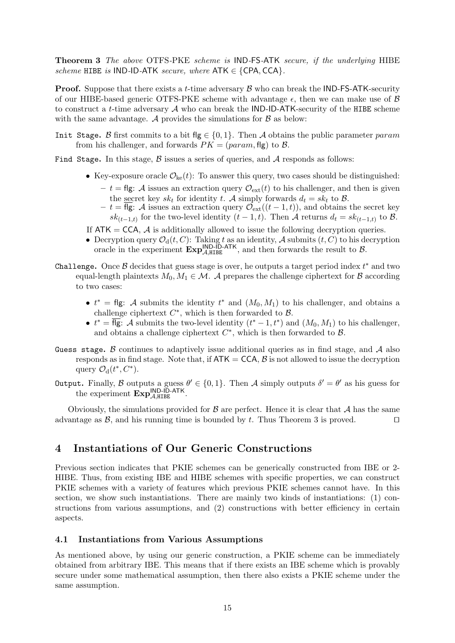**Theorem 3** *The above* OTFS*-*PKE *scheme is* IND*-*FS*-*ATK *secure, if the underlying* HIBE *scheme* HIBE *is* IND*-*ID*-*ATK *secure, where* ATK *∈ {*CPA*,* CCA*}.*

**Proof.** Suppose that there exists a *t*-time adversary *B* who can break the IND-FS-ATK-security of our HIBE-based generic OTFS-PKE scheme with advantage *ϵ*, then we can make use of *B* to construct a *t*-time adversary *A* who can break the IND-ID-ATK-security of the HIBE scheme with the same advantage.  $A$  provides the simulations for  $B$  as below:

Init Stage**.** *B* first commits to a bit flg *∈ {*0*,* 1*}*. Then *A* obtains the public parameter *param* from his challenger, and forwards  $PK = (param, fig)$  to  $\beta$ .

Find Stage. In this stage, *B* issues a series of queries, and *A* responds as follows:

- Key-exposure oracle  $\mathcal{O}_{\rm ke}(t)$ : To answer this query, two cases should be distinguished:
	- $-t = \text{fig: A}$  issues an extraction query  $\mathcal{O}_{\text{ext}}(t)$  to his challenger, and then is given the secret key  $sk_t$  for identity *t*. *A* simply forwards  $d_t = sk_t$  to *B*.
	- $\mathcal{F} = t = \overline{\text{fg}}$ : *A* issues an extraction query  $\mathcal{O}_{ext}((t-1,t))$ , and obtains the secret key *sk*<sub>(*t*−1*,t*)</sub> for the two-level identity (*t* − 1*, t*). Then *A* returns  $d_t = s k_{(t-1,t)}$  to *B*.
- If  $ATK = CCA$ ,  $\vec{A}$  is additionally allowed to issue the following decryption queries.
- Decryption query  $\mathcal{O}_d(t, C)$ : Taking *t* as an identity, *A* submits  $(t, C)$  to his decryption oracle in the experiment  $\mathbf{Exp}_{\mathcal{A},\text{HIEE}}^{\mathsf{IND}\text{-}\mathsf{ID}\text{-}\mathsf{ATK}}$ , and then forwards the result to  $\mathcal{B}$ .
- Challenge**.** Once *B* decides that guess stage is over, he outputs a target period index *t ∗* and two equal-length plaintexts  $M_0, M_1 \in \mathcal{M}$ . *A* prepares the challenge ciphertext for *B* according to two cases:
	- *•*  $t^*$  = flg: *A* submits the identity  $t^*$  and  $(M_0, M_1)$  to his challenger, and obtains a challenge ciphertext  $C^*$ , which is then forwarded to  $B$ .
	- $t^* = \text{fig: A submits the two-level identity } (t^* 1, t^*) \text{ and } (M_0, M_1) \text{ to his challenge, }$ and obtains a challenge ciphertext *C ∗* , which is then forwarded to *B*.
- Guess stage**.** *B* continues to adaptively issue additional queries as in find stage, and *A* also responds as in find stage. Note that, if  $ATK = CCA$ ,  $\beta$  is not allowed to issue the decryption query  $\mathcal{O}_d(t^*, C^*)$ .
- Output**.** Finally, *B* outputs a guess *θ ′ ∈ {*0*,* 1*}*. Then *A* simply outputs *δ ′* = *θ ′* as his guess for the experiment  $\text{Exp}_{\mathcal{A},\text{HIBE}}^{\text{IND-ID-ATK}}$ .

Obviously, the simulations provided for  $\beta$  are perfect. Hence it is clear that  $\mathcal A$  has the same advantage as *B*, and his running time is bounded by *t*. Thus Theorem 3 is proved. *⊔⊓*

# **4 Instantiations of Our Generic Constructions**

Previous section indicates that PKIE schemes can be generically constructed from IBE or 2- HIBE. Thus, from existing IBE and HIBE schemes with specific properties, we can construct PKIE schemes with a variety of features which previous PKIE schemes cannot have. In this section, we show such instantiations. There are mainly two kinds of instantiations: (1) constructions from various assumptions, and (2) constructions with better efficiency in certain aspects.

# **4.1 Instantiations from Various Assumptions**

As mentioned above, by using our generic construction, a PKIE scheme can be immediately obtained from arbitrary IBE. This means that if there exists an IBE scheme which is provably secure under some mathematical assumption, then there also exists a PKIE scheme under the same assumption.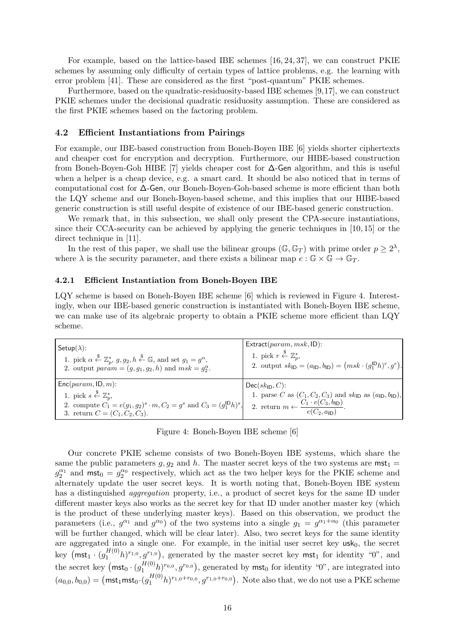For example, based on the lattice-based IBE schemes [16, 24, 37], we can construct PKIE schemes by assuming only difficulty of certain types of lattice problems, e.g. the learning with error problem [41]. These are considered as the first "post-quantum" PKIE schemes.

Furthermore, based on the quadratic-residuosity-based IBE schemes [9,17], we can construct PKIE schemes under the decisional quadratic residuosity assumption. These are considered as the first PKIE schemes based on the factoring problem.

## **4.2 Efficient Instantiations from Pairings**

For example, our IBE-based construction from Boneh-Boyen IBE [6] yields shorter ciphertexts and cheaper cost for encryption and decryption. Furthermore, our HIBE-based construction from Boneh-Boyen-Goh HIBE [7] yields cheaper cost for ∆-Gen algorithm, and this is useful when a helper is a cheap device, e.g. a smart card. It should be also noticed that in terms of computational cost for ∆-Gen, our Boneh-Boyen-Goh-based scheme is more efficient than both the LQY scheme and our Boneh-Boyen-based scheme, and this implies that our HIBE-based generic construction is still useful despite of existence of our IBE-based generic construction.

We remark that, in this subsection, we shall only present the CPA-secure instantiations, since their CCA-security can be achieved by applying the generic techniques in [10, 15] or the direct technique in [11].

In the rest of this paper, we shall use the bilinear groups  $(\mathbb{G}, \mathbb{G}_T)$  with prime order  $p \geq 2^{\lambda}$ , where  $\lambda$  is the security parameter, and there exists a bilinear map  $e : \mathbb{G} \times \mathbb{G} \to \mathbb{G}_T$ .

#### **4.2.1 Efficient Instantiation from Boneh-Boyen IBE**

LQY scheme is based on Boneh-Boyen IBE scheme [6] which is reviewed in Figure 4. Interestingly, when our IBE-based generic construction is instantiated with Boneh-Boyen IBE scheme, we can make use of its algebraic property to obtain a PKIE scheme more efficient than LQY scheme.

| Setup $(\lambda)$ :                                                                                                                                                                                                | $Extract(param, msk, ID)$ :                                                                                                                                                                                     |
|--------------------------------------------------------------------------------------------------------------------------------------------------------------------------------------------------------------------|-----------------------------------------------------------------------------------------------------------------------------------------------------------------------------------------------------------------|
| 1. pick $\alpha \stackrel{\$}{\leftarrow} \mathbb{Z}_p^*$ , $g, g_2, h \stackrel{\$}{\leftarrow} \mathbb{G}$ , and set $g_1 = g^{\alpha}$ ,                                                                        | 1. pick $r \stackrel{\$}{\leftarrow} \mathbb{Z}_n^*$ ,                                                                                                                                                          |
| 2. output $param = (g, g_1, g_2, h)$ and $msk = g_2^{\alpha}$ .                                                                                                                                                    | 2. output $sk_{\text{ID}} = (a_{\text{ID}}, b_{\text{ID}}) = (msk \cdot (g_1^{\text{ID}} h)^r, g^r)$ .                                                                                                          |
| $Enc(param, ID, m)$ :<br>1. pick $s \stackrel{\$}{\leftarrow} \mathbb{Z}_n^*$<br>2. compute $C_1 = e(g_1, g_2)^s \cdot m$ , $C_2 = g^s$ and $C_3 = (g_1^{\mathsf{ID}} h)^s$ ,<br>3. return $C = (C_1, C_2, C_3)$ . | $Dec(sk_{ID}, C)$ :<br>1. parse C as $(C_1, C_2, C_3)$ and $sk_{\text{ID}}$ as $(a_{\text{ID}}, b_{\text{ID}})$ ,<br>2. return $m \leftarrow \frac{C_1 \cdot e(C_3, b_{\mathsf{ID}})}{e(C_2, a_{\mathsf{ID}})}$ |

Figure 4: Boneh-Boyen IBE scheme [6]

Our concrete PKIE scheme consists of two Boneh-Boyen IBE systems, which share the same the public parameters  $g, g_2$  and  $h$ . The master secret keys of the two systems are  $mst_1 =$  $g_2^{\alpha_1}$  and  $mst_0 = g_2^{\alpha_0}$  respectively, which act as the two helper keys for the PKIE scheme and alternately update the user secret keys. It is worth noting that, Boneh-Boyen IBE system has a distinguished *aggregation* property, i.e., a product of secret keys for the same ID under different master keys also works as the secret key for that ID under another master key (which is the product of these underlying master keys). Based on this observation, we product the parameters (i.e.,  $g^{\alpha_1}$  and  $g^{\alpha_0}$ ) of the two systems into a single  $g_1 = g^{\alpha_1+\alpha_0}$  (this parameter will be further changed, which will be clear later). Also, two secret keys for the same identity are aggregated into a single one. For example, in the initial user secret key  $usk<sub>0</sub>$ , the secret key  $(\textsf{mst}_1 \cdot (g_1^{H(0)}h)^{r_{1,0}}, g^{r_{1,0}})$ , generated by the master secret key  $\textsf{mst}_1$  for identity "0", and the secret key  $(\textsf{mst}_0 \cdot (g_1^{H(0)} h)^{r_{0,0}}, g^{r_{0,0}})$ , generated by  $\textsf{mst}_0$  for identity "0", are integrated into  $(a_{0,0}, b_{0,0}) = (\text{mst}_1 \text{mst}_0 \cdot (g_1^{H(0)} h)^{r_{1,0}+r_{0,0}}, g^{r_{1,0}+r_{0,0}})$ . Note also that, we do not use a PKE scheme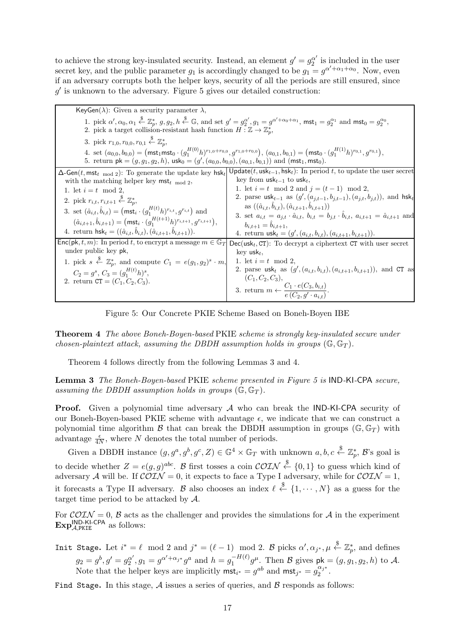to achieve the strong key-insulated security. Instead, an element  $g' = g_2^{\alpha'}$  is included in the user secret key, and the public parameter  $g_1$  is accordingly changed to be  $g_1 = g^{\alpha' + \alpha_1 + \alpha_0}$ . Now, even if an adversary corrupts both the helper keys, security of all the periods are still ensured, since *g ′* is unknown to the adversary. Figure 5 gives our detailed construction:

| KeyGen( $\lambda$ ): Given a security parameter $\lambda$ ,                                                                                                                                                                                                                                                                                                                                                                                                                                                                                                                  |                                                                                                                                                                                                                                                                                                                                                                                                                                                                                                                                                                                                             |
|------------------------------------------------------------------------------------------------------------------------------------------------------------------------------------------------------------------------------------------------------------------------------------------------------------------------------------------------------------------------------------------------------------------------------------------------------------------------------------------------------------------------------------------------------------------------------|-------------------------------------------------------------------------------------------------------------------------------------------------------------------------------------------------------------------------------------------------------------------------------------------------------------------------------------------------------------------------------------------------------------------------------------------------------------------------------------------------------------------------------------------------------------------------------------------------------------|
| 2. pick a target collision-resistant hash function $H : \mathbb{Z} \to \mathbb{Z}_p^*$ ,                                                                                                                                                                                                                                                                                                                                                                                                                                                                                     | 1. pick $\alpha', \alpha_0, \alpha_1 \stackrel{\$}{\leftarrow} \mathbb{Z}_p^*, g, g_2, h \stackrel{\$}{\leftarrow} \mathbb{G}$ , and set $g' = g_2^{\alpha'}, g_1 = g^{\alpha' + \alpha_0 + \alpha_1}$ , $\mathsf{mst}_1 = g_2^{\alpha_1}$ and $\mathsf{mst}_0 = g_2^{\alpha_0}$ ,                                                                                                                                                                                                                                                                                                                          |
| 3. pick $r_{1,0}, r_{0,0}, r_{0,1} \stackrel{\$}{\leftarrow} \mathbb{Z}_p^*$ ,                                                                                                                                                                                                                                                                                                                                                                                                                                                                                               |                                                                                                                                                                                                                                                                                                                                                                                                                                                                                                                                                                                                             |
| 5. return $pk = (g, g_1, g_2, h)$ , $usk_0 = (g', (a_{0,0}, b_{0,0}), (a_{0,1}, b_{0,1}))$ and $(mst_1, mst_0)$ .                                                                                                                                                                                                                                                                                                                                                                                                                                                            | 4. set $(a_{0,0}, b_{0,0}) = (\text{mst}_1 \text{mst}_0 \cdot (g_1^{H(0)} h)^{r_{1,0}+r_{0,0}}, g^{r_{1,0}+r_{0,0}}), (a_{0,1}, b_{0,1}) = (\text{mst}_0 \cdot (g_1^{H(1)} h)^{r_{0,1}}, g^{r_{0,1}}),$                                                                                                                                                                                                                                                                                                                                                                                                     |
| $\Delta$ -Gen(t, mst <sub>t mod 2</sub> ): To generate the update key hsk <sub>t</sub><br>with the matching helper key $mst_{t \mod 2}$ ,<br>1. let $i = t \mod 2$ ,<br>2. pick $r_{i,t}, r_{i,t+1} \stackrel{\$}{\leftarrow} \mathbb{Z}_p^*$ ,<br>3. set $(\hat{a}_{i,t}, \hat{b}_{i,t}) = (\text{mst}_i \cdot (g_1^{H(t)} h)^{r_{i,t}}, g^{r_{i,t}})$ and<br>$(\hat{a}_{i,t+1}, \hat{b}_{i,t+1}) = (\text{mst}_i \cdot (g_1^{H(t+1)}h)^{r_{i,t+1}}, g^{r_{i,t+1}}),$<br>4. return $\mathsf{hsk}_t = ((\hat{a}_{i,t}, \hat{b}_{i,t}), (\hat{a}_{i,t+1}, \hat{b}_{i,t+1})).$ | $Update(t, \text{usk}_{t-1}, \text{hsk}_{t})$ : In period t, to update the user secret<br>key from $usk_{t-1}$ to usk <sub>t</sub> ,<br>1. let $i = t \mod 2$ and $j = (t - 1) \mod 2$ ,<br>2. parse usk <sub>t-1</sub> as $(g', (a_{j,t-1}, b_{j,t-1}), (a_{j,t}, b_{j,t}))$ , and hsk <sub>t</sub><br>as $((\hat{a}_{i,t}, b_{i,t}), (\hat{a}_{i,t+1}, b_{i,t+1}))$<br>3. set $a_{i,t} = a_{j,t} \cdot \hat{a}_{i,t}$ , $b_{i,t} = b_{j,t} \cdot b_{i,t}$ , $a_{i,t+1} = \hat{a}_{i,t+1}$ and<br>$b_{i,t+1} = b_{i,t+1},$<br>4. return $\text{usk}_t = (g', (a_{i,t}, b_{i,t}), (a_{i,t+1}, b_{i,t+1})).$ |
| $\mathsf{Enc}(\mathsf{pk}, t, m)$ : In period t, to encrypt a message $m \in \mathbb{G}_T$<br>under public key pk,<br>1. pick $s \stackrel{\$}{\leftarrow} \mathbb{Z}_p^*$ , and compute $C_1 = e(g_1, g_2)^s \cdot m$ ,<br>$C_2 = q^s$ , $C_3 = (q_1^{H(t)}h)^s$ ,<br>2. return $CT = (C_1, C_2, C_3)$ .                                                                                                                                                                                                                                                                    | $Dec(usk_t, CT)$ : To decrypt a ciphertext CT with user secret<br>key usk $_t$ ,<br>1. let $i = t \mod 2$ ,<br>2. parse usk <sub>t</sub> as $(g', (a_{i,t}, b_{i,t}), (a_{i,t+1}, b_{i,t+1}))$ , and CT as<br>$(C_1, C_2, C_3),$<br>3. return $m \leftarrow \frac{C_1 \cdot e(C_3, b_{i,t})}{e(C_2, g' \cdot a_{i,t})}$ .                                                                                                                                                                                                                                                                                   |

Figure 5: Our Concrete PKIE Scheme Based on Boneh-Boyen IBE

**Theorem 4** *The above Boneh-Boyen-based* PKIE *scheme is strongly key-insulated secure under chosen-plaintext attack, assuming the DBDH assumption holds in groups*  $(\mathbb{G}, \mathbb{G}_T)$ *.* 

Theorem 4 follows directly from the following Lemmas 3 and 4.

**Lemma 3** *The Boneh-Boyen-based* PKIE *scheme presented in Figure 5 is* IND*-*KI*-*CPA *secure, assuming the DBDH assumption holds in groups*  $(\mathbb{G}, \mathbb{G}_T)$ *.* 

Proof. Given a polynomial time adversary *A* who can break the IND-KI-CPA security of our Boneh-Boyen-based PKIE scheme with advantage  $\epsilon$ , we indicate that we can construct a polynomial time algorithm *B* that can break the DBDH assumption in groups  $(\mathbb{G}, \mathbb{G}_T)$  with advantage  $\frac{\epsilon}{4N}$ , where *N* denotes the total number of periods.

Given a DBDH instance  $(g, g^a, g^b, g^c, Z) \in \mathbb{G}^4 \times \mathbb{G}_T$  with unknown  $a, b, c \stackrel{\$}{\leftarrow} \mathbb{Z}_p^*, \mathcal{B}$ 's goal is to decide whether  $Z = e(g, g)^{abc}$ . *B* first tosses a coin  $\mathcal{COTN} \stackrel{\$}{\leftarrow} \{0, 1\}$  to guess which kind of adversary *A* will be. If  $\widehat{\mathcal{COLN}} = 0$ , it expects to face a Type I adversary, while for  $\widehat{\mathcal{COLN}} = 1$ , it forecasts a Type II adversary. *B* also chooses an index  $\ell \stackrel{\$}{\leftarrow} \{1, \cdots, N\}$  as a guess for the target time period to be attacked by *A*.

For  $\mathcal{COLN} = 0$ ,  $\mathcal B$  acts as the challenger and provides the simulations for  $\mathcal A$  in the experiment **Exp**<sup>IND-KI-CPA</sup> as follows:

Init Stage. Let  $i^* = \ell \mod 2$  and  $j^* = (\ell - 1) \mod 2$ . B picks  $\alpha', \alpha_{j^*}, \mu \stackrel{\$}{\leftarrow} \mathbb{Z}_p^*$ , and defines  $g_2 = g^b, g' = g_2^{\alpha'}, g_1 = g^{\alpha' + \alpha_{j^*}} g^a$  and  $h = g_1^{-H(\ell)} g^{\mu}$ . Then  $\mathcal{B}$  gives  $pk = (g, g_1, g_2, h)$  to A. Note that the helper keys are implicitly  $\text{mst}_{i^*} = g^{ab}$  and  $\text{mst}_{j^*} = g_2^{\alpha_j^*}$  $\frac{\alpha_j}{2}$ .

Find Stage**.** In this stage, *A* issues a series of queries, and *B* responds as follows: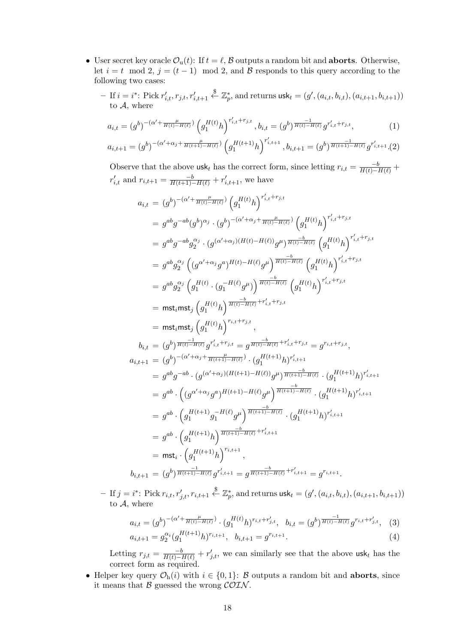- User secret key oracle  $\mathcal{O}_u(t)$ : If  $t = \ell$ ,  $\mathcal B$  outputs a random bit and **aborts**. Otherwise, let  $i = t \mod 2$ ,  $j = (t - 1) \mod 2$ , and *B* responds to this query according to the following two cases:
	- $-$  If  $i = i^*$ : Pick  $r'_{i,t}, r_{j,t}, r'_{i,t+1}$  $\overset{\$}{\leftarrow} \mathbb{Z}_p^*$ , and returns  $\textsf{usk}_t = (g', (a_{i,t}, b_{i,t}), (a_{i,t+1}, b_{i,t+1}))$ to *A*, where

$$
a_{i,t} = (g^b)^{-(\alpha' + \frac{\mu}{H(t) - H(\ell)})} \left( g_1^{H(t)} h \right)^{r'_{i,t} + r_{j,t}}, b_{i,t} = (g^b)^{\frac{-1}{H(t) - H(\ell)}} g^{r'_{i,t} + r_{j,t}}, \tag{1}
$$

$$
a_{i,t+1} = (g^b)^{-(\alpha' + \alpha_j + \frac{\mu}{H(t+1) - H(\ell)})} \left( g_1^{H(t+1)} h \right)^{r'_{i,t+1}}, b_{i,t+1} = (g^b)^{\frac{-1}{H(t+1) - H(\ell)}} g^{r'_{i,t+1}}. (2)
$$

Observe that the above usk<sub>t</sub> has the correct form, since letting  $r_{i,t} = \frac{-b}{H(t) - H(\ell)} +$  $r'_{i,t}$  and  $r_{i,t+1} = \frac{-b}{H(t+1)-H(\ell)} + r'_{i,t+1}$ , we have

$$
a_{i,t} = (g^{b})^{-(\alpha' + \frac{\mu}{H(t)-H(\ell)}}) \left( g_{1}^{H(t)} h \right)^{r'_{i,t} + r_{j,t}} \n= g^{ab}g^{-ab}(g^{b})^{\alpha_{j}} \cdot (g^{b})^{-(\alpha' + \alpha_{j} + \frac{\mu}{H(t)-H(\ell)}}) \left( g_{1}^{H(t)} h \right)^{r'_{i,t} + r_{j,t}} \n= g^{ab}g^{-ab}g_{2}^{\alpha_{j}} \cdot (g^{(\alpha' + \alpha_{j})(H(t)-H(\ell))} g^{\mu})^{\frac{-b}{H(t)-H(\ell)}} \left( g_{1}^{H(t)} h \right)^{r'_{i,t} + r_{j,t}} \n= g^{ab}g_{2}^{\alpha_{j}} \left( (g^{\alpha' + \alpha_{j}} g^{a})^{H(t)-H(\ell)} g^{\mu} \right)^{\frac{-b}{H(t)-H(\ell)}} \left( g_{1}^{H(t)} h \right)^{r'_{i,t} + r_{j,t}} \n= g^{ab}g_{2}^{\alpha_{j}} \left( g_{1}^{H(t)} \cdot (g_{1}^{-H(\ell)} g^{\mu}) \right)^{\frac{-b}{H(t)-H(\ell)}} \left( g_{1}^{H(t)} h \right)^{r'_{i,t} + r_{j,t}} \n= \text{mst}_{i} \text{mst}_{j} \left( g_{1}^{H(t)} h \right)^{\frac{-b}{H(t)-H(\ell)}} + r'_{i,t} + r_{j,t} \n= \text{mst}_{i} \text{mst}_{j} \left( g_{1}^{H(t)} h \right)^{r_{i,t} + r_{j,t}},
$$
\n
$$
b_{i,t} = (g^{b})^{\frac{-1}{H(t)-H(\ell)}} g^{r'_{i,t} + r_{j,t}} = g^{\frac{-b}{H(t)-H(\ell)}} + r'_{i,t} + r_{j,t} = g^{r_{i,t} + r_{j,t}},
$$
\n
$$
a_{i,t+1} = (g^{b})^{-(\alpha' + \alpha_{j} + \frac{-b}{H(t+1)-H(\ell)}}) \cdot (g_{1}^{H(t+1)} h)^{r'_{i,t+1}} \n= g^{ab} g^{-ab} \cdot (g^{(\alpha' + \alpha_{j})(H(t+1) - H(\ell)} g^{\mu})^{\frac{-b}{H(t+1)-H(\ell)}} \cdot (g_{1}^{H(t+1)}
$$

 $-$  If  $j = i^*$ : Pick  $r_{i,t}, r'_{j,t}, r_{i,t+1} \stackrel{\$}{\leftarrow} \mathbb{Z}_p^*$ , and returns  $\mathsf{usk}_t = (g',(a_{i,t}, b_{i,t}), (a_{i,t+1}, b_{i,t+1}))$ to *A*, where

$$
a_{i,t} = (g^b)^{-(\alpha' + \frac{\mu}{H(t) - H(\ell)})} \cdot (g_1^{H(t)} h)^{r_{i,t} + r'_{j,t}}, \quad b_{i,t} = (g^b)^{\frac{-1}{H(t) - H(\ell)}} g^{r_{i,t} + r'_{j,t}}, \quad (3)
$$
  

$$
a_{i,t+1} = g_2^{\alpha_i} (g_1^{H(t+1)} h)^{r_{i,t+1}}, \quad b_{i,t+1} = g^{r_{i,t+1}}.
$$

Letting  $r_{j,t} = \frac{-b}{H(t) - H(\ell)} + r'_{j,t}$ , we can similarly see that the above usk<sub>t</sub> has the correct form as required.

*•* Helper key query  $\mathcal{O}_h(i)$  with  $i \in \{0, 1\}$ : *B* outputs a random bit and **aborts**, since it means that *B* guessed the wrong *COIN* .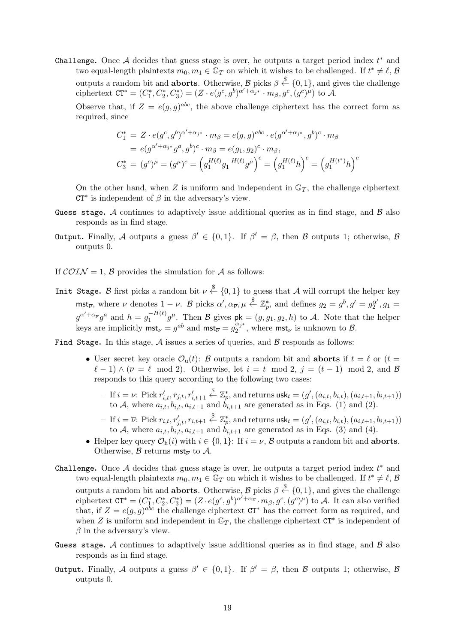Challenge**.** Once *A* decides that guess stage is over, he outputs a target period index *t ∗* and two equal-length plaintexts  $m_0, m_1 \in \mathbb{G}_T$  on which it wishes to be challenged. If  $t^* \neq \ell, \mathcal{B}$ outputs a random bit and **aborts**. Otherwise, *B* picks *β* \$*← {*0*,* 1*}*, and gives the challenge ciphertext  $CT^* = (C_1^*, C_2^*, C_3^*) = (Z \cdot e(g^c, g^b)^{\alpha' + \alpha_{j^*}} \cdot m_{\beta}, g^c, (g^c)^{\mu})$  to A.

Observe that, if  $Z = e(g, g)^{abc}$ , the above challenge ciphertext has the correct form as required, since

$$
C_1^* = Z \cdot e(g^c, g^b)^{\alpha' + \alpha_{j^*}} \cdot m_\beta = e(g, g)^{abc} \cdot e(g^{\alpha' + \alpha_{j^*}}, g^b)^c \cdot m_\beta
$$
  
=  $e(g^{\alpha' + \alpha_{j^*}} g^a, g^b)^c \cdot m_\beta = e(g_1, g_2)^c \cdot m_\beta,$   

$$
C_3^* = (g^c)^\mu = (g^\mu)^c = (g_1^{H(\ell)} g_1^{-H(\ell)} g^\mu)^c = (g_1^{H(\ell)} h)^c = (g_1^{H(\ell^*)} h)^c
$$

On the other hand, when  $Z$  is uniform and independent in  $\mathbb{G}_T$ , the challenge ciphertext CT*∗* is independent of *β* in the adversary's view.

- Guess stage**.** *A* continues to adaptively issue additional queries as in find stage, and *B* also responds as in find stage.
- Output**.** Finally, *A* outputs a guess *β ′ ∈ {*0*,* 1*}*. If *β ′* = *β*, then *B* outputs 1; otherwise, *B* outputs 0.
- If  $\mathcal{COLN} = 1$ ,  $\mathcal{B}$  provides the simulation for  $\mathcal{A}$  as follows:
- Init Stage. *B* first picks a random bit  $\nu \stackrel{\$}{\leftarrow} \{0,1\}$  to guess that *A* will corrupt the helper key  $\mathsf{mst}_{\overline{\nu}},$  where  $\overline{\nu}$  denotes  $1-\nu$ . B picks  $\alpha', \alpha_{\overline{\nu}}, \mu \stackrel{\$}{\leftarrow} \mathbb{Z}_p^*$ , and defines  $g_2 = g^b, g' = g_2^{\alpha'}, g_1 = g_1^{\alpha'}$  $g^{\alpha'+\alpha_{\overline{\nu}}}g^a$  and  $h=g_1^{-H(\ell)}g^{\mu}$ . Then  $\mathcal B$  gives  $pk=(g,g_1,g_2,h)$  to  $\mathcal A$ . Note that the helper keys are implicitly  $mst_{\nu} = g^{ab}$  and  $mst_{\overline{\nu}} = g_2^{\alpha_j *}$  $\frac{\alpha_j}{2}$ <sup>2</sup>, where mst<sub>*ν*</sub> is unknown to *B*.

Find Stage**.** In this stage, *A* issues a series of queries, and *B* responds as follows:

- User secret key oracle  $\mathcal{O}_u(t)$ : *B* outputs a random bit and **aborts** if  $t = \ell$  or  $(t =$  $\ell - 1$ )  $\wedge (\overline{\nu} = \ell \mod 2)$ . Otherwise, let  $i = t \mod 2$ ,  $j = (t - 1) \mod 2$ , and *B* responds to this query according to the following two cases:
	- $-$  If  $i = \nu$ : Pick  $r'_{i,t}, r_{j,t}, r'_{i,t+1}$  $\overset{\$}{\leftarrow} \mathbb{Z}_p^*$ , and returns usk $_t = (g', (a_{i,t}, b_{i,t}), (a_{i,t+1}, b_{i,t+1}))$ to A, where  $a_{i,t}, b_{i,t}, a_{i,t+1}$  and  $b_{i,t+1}$  are generated as in Eqs. (1) and (2).
	- $-$  If  $i=\overline{\nu}$ : Pick  $r_{i,t}, r'_{j,t}, r_{i,t+1} \overset{\$}{\leftarrow} \mathbb{Z}_p^*$ , and returns  $\mathsf{usk}_t = (g',(a_{i,t}, b_{i,t}), (a_{i,t+1}, b_{i,t+1}))$ to *A*, where  $a_{i,t}$ ,  $b_{i,t}$ ,  $a_{i,t+1}$  and  $b_{i,t+1}$  are generated as in Eqs. (3) and (4).
- *•* Helper key query *O*h(*i*) with *i ∈ {*0*,* 1*}*: If *i* = *ν*, *B* outputs a random bit and **aborts**. Otherwise,  $\beta$  returns mst<sub> $\overline{\nu}$ </sub> to  $\overline{\mathcal{A}}$ .
- Challenge**.** Once *A* decides that guess stage is over, he outputs a target period index *t ∗* and two equal-length plaintexts  $m_0, m_1 \in \mathbb{G}_T$  on which it wishes to be challenged. If  $t^* \neq \ell, \mathcal{B}$ outputs a random bit and **aborts**. Otherwise, *B* picks *β* \$*← {*0*,* 1*}*, and gives the challenge ciphertext  $CT^* = (C_1^*, C_2^*, C_3^*) = (Z \cdot e(g^c, g^b)^{\alpha' + \alpha_{\overline{\nu}}} \cdot m_\beta, g^c, (g^c)^\mu)$  to A. It can also verified that, if  $Z = e(g, g)^{abc}$  the challenge ciphertext  $CT^*$  has the correct form as required, and when *Z* is uniform and independent in  $\mathbb{G}_T$ , the challenge ciphertext  $CT^*$  is independent of *β* in the adversary's view.
- Guess stage**.** *A* continues to adaptively issue additional queries as in find stage, and *B* also responds as in find stage.
- Output**.** Finally, *A* outputs a guess *β ′ ∈ {*0*,* 1*}*. If *β ′* = *β*, then *B* outputs 1; otherwise, *B* outputs 0.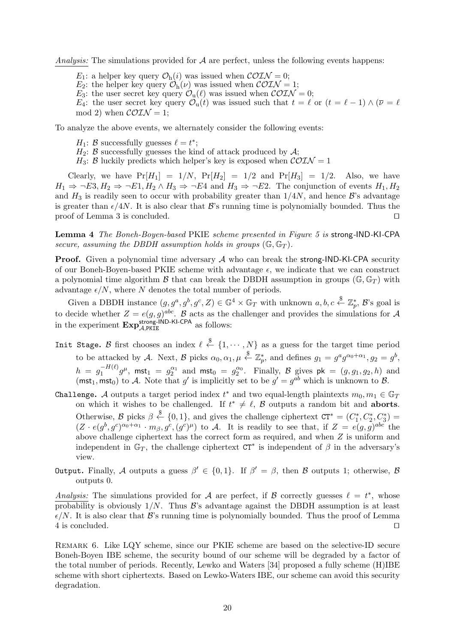*Analysis:* The simulations provided for *A* are perfect, unless the following events happens:

- *E*<sub>1</sub>: a helper key query  $\mathcal{O}_{h}(i)$  was issued when  $\mathcal{COTN} = 0$ ;
- *E*<sub>2</sub>: the helper key query  $\mathcal{O}_{h}(\nu)$  was issued when  $\mathcal{COTN} = 1$ ;
- *E*<sub>3</sub>: the user secret key query  $\mathcal{O}_u(\ell)$  was issued when  $\mathcal{COIN}=0$ ;

*E*<sub>4</sub>: the user secret key query  $\mathcal{O}_u(t)$  was issued such that  $t = \ell$  or  $(t = \ell - 1) \wedge (\overline{\nu} = \ell - 1)$ mod 2) when  $\mathcal{COIN} = 1$ ;

To analyze the above events, we alternately consider the following events:

- *H*<sub>1</sub>: *B* successfully guesses  $\ell = t^*$ ;
- $H_2$ : *B* successfully guesses the kind of attack produced by  $A$ ;
- *H*<sub>3</sub>: *B* luckily predicts which helper's key is exposed when  $\mathcal{COLN} = 1$

Clearly, we have  $Pr[H_1] = 1/N$ ,  $Pr[H_2] = 1/2$  and  $Pr[H_3] = 1/2$ . Also, we have  $H_1 \Rightarrow \neg E3, H_2 \Rightarrow \neg E1, H_2 \wedge H_3 \Rightarrow \neg E4$  and  $H_3 \Rightarrow \neg E2$ . The conjunction of events  $H_1, H_2$ and  $H_3$  is readily seen to occur with probability greater than  $1/4N$ , and hence  $\mathcal{B}$ 's advantage is greater than  $\epsilon/4N$ . It is also clear that *B*'s running time is polynomially bounded. Thus the proof of Lemma 3 is concluded. *⊔⊓*

**Lemma 4** *The Boneh-Boyen-based* PKIE *scheme presented in Figure 5 is* strong*-*IND*-*KI*-*CPA *secure, assuming the DBDH assumption holds in groups*  $(\mathbb{G}, \mathbb{G}_T)$ *.* 

**Proof.** Given a polynomial time adversary A who can break the strong-IND-KI-CPA security of our Boneh-Boyen-based PKIE scheme with advantage  $\epsilon$ , we indicate that we can construct a polynomial time algorithm *B* that can break the DBDH assumption in groups ( $\mathbb{G}, \mathbb{G}_T$ ) with advantage  $\epsilon/N$ , where *N* denotes the total number of periods.

Given a DBDH instance  $(g, g^a, g^b, g^c, Z) \in \mathbb{G}^4 \times \mathbb{G}_T$  with unknown  $a, b, c \stackrel{\$}{\leftarrow} \mathbb{Z}_p^*, \mathcal{B}$ 's goal is to decide whether  $Z = e(g, g)^{abc}$ . *B* acts as the challenger and provides the simulations for *A* in the experiment  $\mathbf{Exp}_{\mathcal{A},\text{PKIE}}^{\text{strong-IND-KI-CPA}}$  as follows:

- Init Stage. *B* first chooses an index  $\ell \stackrel{\$}{\leftarrow} \{1, \cdots, N\}$  as a guess for the target time period to be attacked by *A*. Next, *B* picks  $\alpha_0, \alpha_1, \mu \stackrel{\$}{\leftarrow} \mathbb{Z}_p^*$ , and defines  $g_1 = g^a g^{\alpha_0 + \alpha_1}, g_2 = g^b$ ,  $h = g_1^{-H(\ell)} g^{\mu}$ , mst<sub>1</sub> =  $g_2^{\alpha_1}$  and mst<sub>0</sub> =  $g_2^{\alpha_0}$ . Finally, *B* gives  $pk = (g, g_1, g_2, h)$  and (mst<sub>1</sub>, mst<sub>0</sub>) to *A*. Note that *g*' is implicitly set to be  $g' = g^{ab}$  which is unknown to *B*.
- Challenge. *A* outputs a target period index  $t^*$  and two equal-length plaintexts  $m_0, m_1 \in \mathbb{G}_T$ on which it wishes to be challenged. If  $t^* \neq \ell$ ,  $\beta$  outputs a random bit and **aborts**. Otherwise,  $\mathcal{B}$  picks  $\beta \stackrel{\$}{\leftarrow} \{0,1\}$ , and gives the challenge ciphertext  $CT^* = (C_1^*, C_2^*, C_3^*)$  $(Z \cdot e(g^b, g^c)^{\alpha_0+\alpha_1} \cdot m_\beta, g^c, (g^c)^\mu)$  to A. It is readily to see that, if  $Z = e(g, g)^{abc}$  the above challenge ciphertext has the correct form as required, and when *Z* is uniform and independent in  $\mathbb{G}_T$ , the challenge ciphertext  $\mathbb{C}T^*$  is independent of  $\beta$  in the adversary's view.
- Output**.** Finally, *A* outputs a guess *β ′ ∈ {*0*,* 1*}*. If *β ′* = *β*, then *B* outputs 1; otherwise, *B* outputs 0.

*Analysis:* The simulations provided for *A* are perfect, if *B* correctly guesses  $\ell = t^*$ , whose probability is obviously 1*/N*. Thus *B*'s advantage against the DBDH assumption is at least  $\epsilon/N$ . It is also clear that  $\mathcal{B}$ 's running time is polynomially bounded. Thus the proof of Lemma 4 is concluded. *⊔⊓*

Remark 6. Like LQY scheme, since our PKIE scheme are based on the selective-ID secure Boneh-Boyen IBE scheme, the security bound of our scheme will be degraded by a factor of the total number of periods. Recently, Lewko and Waters [34] proposed a fully scheme (H)IBE scheme with short ciphertexts. Based on Lewko-Waters IBE, our scheme can avoid this security degradation.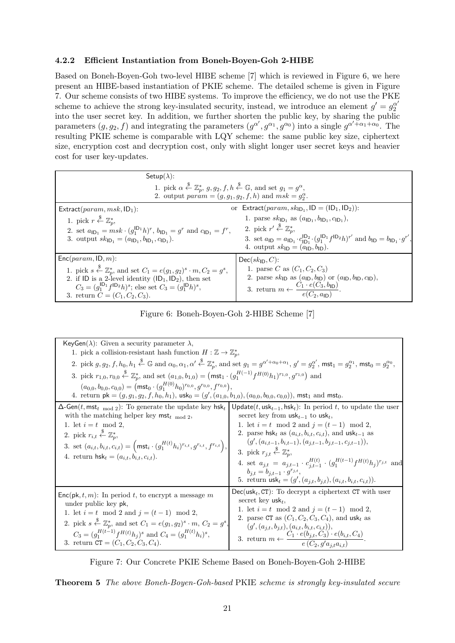## **4.2.2 Efficient Instantiation from Boneh-Boyen-Goh 2-HIBE**

Based on Boneh-Boyen-Goh two-level HIBE scheme [7] which is reviewed in Figure 6, we here present an HIBE-based instantiation of PKIE scheme. The detailed scheme is given in Figure 7. Our scheme consists of two HIBE systems. To improve the efficiency, we do not use the PKE scheme to achieve the strong key-insulated security, instead, we introduce an element  $g' = g_2^{\alpha'}$ into the user secret key. In addition, we further shorten the public key, by sharing the public parameters  $(g, g_2, f)$  and integrating the parameters  $(g^{\alpha'}, g^{\alpha_1}, g^{\alpha_0})$  into a single  $g^{\alpha'+\alpha_1+\alpha_0}$ . The resulting PKIE scheme is comparable with LQY scheme: the same public key size, ciphertext size, encryption cost and decryption cost, only with slight longer user secret keys and heavier cost for user key-updates.

| Setup( $\lambda$ ):                                                                                                                                                                                            |                                                                                                                                                                                                                                |  |
|----------------------------------------------------------------------------------------------------------------------------------------------------------------------------------------------------------------|--------------------------------------------------------------------------------------------------------------------------------------------------------------------------------------------------------------------------------|--|
| 1. pick $\alpha \stackrel{\$}{\leftarrow} \mathbb{Z}_p^*$ , $g, g_2, f, h \stackrel{\$}{\leftarrow} \mathbb{G}$ , and set $g_1 = g^{\alpha}$ ,<br>2. output $param = (g, g1, g2, f, h)$ and $msk = g2\alpha$ . |                                                                                                                                                                                                                                |  |
| Extract( $param, msk, ID1$ ):                                                                                                                                                                                  | or Extract( $param, skID1, ID = (ID1, ID2)$ ):                                                                                                                                                                                 |  |
| 1. pick $r \stackrel{\$}{\leftarrow} \mathbb{Z}_n^*$ ,                                                                                                                                                         | 1. parse $sk_{\text{ID}_1}$ as $(a_{\text{ID}_1}, b_{\text{ID}_1}, c_{\text{ID}_1}),$                                                                                                                                          |  |
| 2. set $a_{\text{ID}_1} = m s k \cdot (g_1^{\text{ID}_1} h)^r$ , $b_{\text{ID}_1} = g^r$ and $c_{\text{ID}_1} = f^r$ ,                                                                                         | 2. pick $r' \stackrel{\$}{\leftarrow} \mathbb{Z}_n^*$                                                                                                                                                                          |  |
| 3. output $sk_{\text{ID}_1} = (a_{\text{ID}_1}, b_{\text{ID}_1}, c_{\text{ID}_1}).$                                                                                                                            | 3. set $a_{\text{ID}} = a_{\text{ID}_1} \cdot c_{\text{ID}_1}^{\text{ID}_2} \cdot (g_1^{\text{ID}_1} f^{\text{ID}_2} h)^{r'}$ and $b_{\text{ID}} = b_{\text{ID}_1} \cdot g^{r'}$ ,<br>4. output $sk_{ID} = (a_{ID}, b_{ID})$ . |  |
| $Enc(param, ID, m):$                                                                                                                                                                                           | $Dec(sk_{\mathsf{ID}}, C)$ :                                                                                                                                                                                                   |  |
| 1. pick $s \stackrel{\$}{\leftarrow} \mathbb{Z}_p^*$ , and set $C_1 = e(g_1, g_2)^s \cdot m, C_2 = g^s$ ,                                                                                                      | 1. parse C as $(C_1, C_2, C_3)$                                                                                                                                                                                                |  |
| 2. if ID is a 2-level identity $(ID_1, ID_2)$ , then set                                                                                                                                                       | 2. parse $sk_{\mathsf{ID}}$ as $(a_{\mathsf{ID}}, b_{\mathsf{ID}})$ or $(a_{\mathsf{ID}}, b_{\mathsf{ID}}, c_{\mathsf{ID}})$ ,                                                                                                 |  |
| $C_3 = (g_1^{\mathsf{ID}_1} f^{\mathsf{ID}_2} h)^s$ ; else set $C_3 = (g_1^{\mathsf{ID}} h)^s$ ,<br>3. return $C = (C_1, C_2, C_3)$ .                                                                          | 3. return $m \leftarrow \frac{C_1 \cdot e(C_3, b_{\mathsf{ID}})}{e(C_2, a_{\mathsf{ID}})}.$                                                                                                                                    |  |

Figure 6: Boneh-Boyen-Goh 2-HIBE Scheme [7]

| KeyGen( $\lambda$ ): Given a security parameter $\lambda$ ,                                                                                                                                                                                                                                                                                                                                                                        |                                                                                                                                                                                                                                                                                                                                                                                                                                                                                                                                                                                                                                                                                                         |  |
|------------------------------------------------------------------------------------------------------------------------------------------------------------------------------------------------------------------------------------------------------------------------------------------------------------------------------------------------------------------------------------------------------------------------------------|---------------------------------------------------------------------------------------------------------------------------------------------------------------------------------------------------------------------------------------------------------------------------------------------------------------------------------------------------------------------------------------------------------------------------------------------------------------------------------------------------------------------------------------------------------------------------------------------------------------------------------------------------------------------------------------------------------|--|
| 1. pick a collision-resistant hash function $H : \mathbb{Z} \to \mathbb{Z}_p^*$ ,                                                                                                                                                                                                                                                                                                                                                  |                                                                                                                                                                                                                                                                                                                                                                                                                                                                                                                                                                                                                                                                                                         |  |
| 2. pick $g, g_2, f, h_0, h_1 \stackrel{\$}{\leftarrow} \mathbb{G}$ and $\alpha_0, \alpha_1, \alpha' \stackrel{\$}{\leftarrow} \mathbb{Z}_p^*$ , and set $g_1 = g^{\alpha' + \alpha_0 + \alpha_1}, g' = g_2^{\alpha'}$ , $\mathsf{mst}_1 = g_2^{\alpha_1}, \mathsf{mst}_0 = g_2^{\alpha_0},$                                                                                                                                        |                                                                                                                                                                                                                                                                                                                                                                                                                                                                                                                                                                                                                                                                                                         |  |
| 3. pick $r_{1,0}, r_{0,0} \stackrel{\$}{\leftarrow} \mathbb{Z}_n^*$ , and set $(a_{1,0}, b_{1,0}) = (\text{mst}_1 \cdot (g_1^{H(-1)} f^{H(0)} h_1)^{r_{1,0}}, g^{r_{1,0}})$ and                                                                                                                                                                                                                                                    |                                                                                                                                                                                                                                                                                                                                                                                                                                                                                                                                                                                                                                                                                                         |  |
| $(a_{0,0}, b_{0,0}, c_{0,0}) = (\text{mst}_0 \cdot (g_1^{H(0)} h_0)^{r_{0,0}}, g^{r_{0,0}}, f^{r_{0,0}}),$<br>4. return $pk = (g, g_1, g_2, f, h_0, h_1)$ , $usk_0 = (g', (a_{1,0}, b_{1,0}), (a_{0,0}, b_{0,0}, c_{0,0}))$ , mst <sub>1</sub> and mst <sub>0</sub> .                                                                                                                                                              |                                                                                                                                                                                                                                                                                                                                                                                                                                                                                                                                                                                                                                                                                                         |  |
| $\Delta$ -Gen(t, mst <sub>t mod 2</sub> ): To generate the update key hsk <sub>t</sub><br>with the matching helper key $mst_{t \mod 2}$ ,<br>1. let $i = t \mod 2$ ,<br>2. pick $r_{i,t} \overset{\$}{\leftarrow} \mathbb{Z}_p^*$ ,<br>3. set $(a_{i,t}, b_{i,t}, c_{i,t}) = \left( \text{mst}_i \cdot (g_1^{H(t)} h_i)^{r_{i,t}}, g^{r_{i,t}}, f^{r_{i,t}} \right),$<br>4. return $\mathsf{hsk}_t = (a_{i,t}, b_{i,t}, c_{i,t}).$ | Update( $t$ , usk <sub><math>t-1</math></sub> , hsk <sub><math>t</math></sub> ): In period $t$ , to update the user<br>secret key from $usk_{t-1}$ to usk <sub>t</sub> ,<br>1. let $i = t \mod 2$ and $j = (t - 1) \mod 2$ ,<br>2. parse hsk <sub>t</sub> as $(a_{i,t}, b_{i,t}, c_{i,t})$ , and usk <sub>t-1</sub> as<br>$(g', (a_{i,t-1}, b_{i,t-1}), (a_{j,t-1}, b_{j,t-1}, c_{j,t-1})),$<br>3. pick $r_{j,t} \overset{\text{*}}{\leftarrow} \mathbb{Z}_n^*$<br>4. set $a_{j,t} = a_{j,t-1} \cdot c_{i,t-1}^{H(t)} \cdot (g_1^{H(t-1)} f^{H(t)} h_j)^{r_{j,t}}$ and<br>$b_{j,t} = b_{j,t-1} \cdot g^{r_{j,t}},$<br>5. return $\text{usk}_t = (g', (a_{i,t}, b_{i,t}), (a_{i,t}, b_{i,t}, c_{i,t})).$ |  |
| $Enc(\mathsf{pk}, t, m)$ : In period t, to encrypt a message m<br>under public key pk,<br>1. let $i = t \mod 2$ and $j = (t - 1) \mod 2$ ,<br>2. pick $s \stackrel{\$}{\leftarrow} \mathbb{Z}_p^*$ , and set $C_1 = e(g_1, g_2)^s \cdot m$ , $C_2 = g^s$ ,<br>$C_3 = (g_1^{H(t-1)} f^{H(t)} h_i)^s$ and $C_4 = (g_1^{H(t)} h_i)^s$ ,<br>3. return $CT = (C_1, C_2, C_3, C_4)$ .                                                    | $Dec(\text{usk}_t, \text{CT})$ : To decrypt a ciphertext CT with user<br>secret key usk <sub>t</sub> ,<br>1. let $i = t \mod 2$ and $j = (t - 1) \mod 2$ ,<br>2. parse CT as $(C_1, C_2, C_3, C_4)$ , and usk <sub>t</sub> as<br>$(g', (a_{j,t}, b_{j,t}), (a_{i,t}, b_{i,t}, c_{i,t})),$<br>3. return $m \leftarrow \frac{C_1 \cdot e(b_{j,t}, C_3) \cdot e(b_{i,t}, C_4)}{e(C_2, g'a_{j,t}a_{i,t})}$ .                                                                                                                                                                                                                                                                                                |  |



**Theorem 5** *The above Boneh-Boyen-Goh-based* PKIE *scheme is strongly key-insulated secure*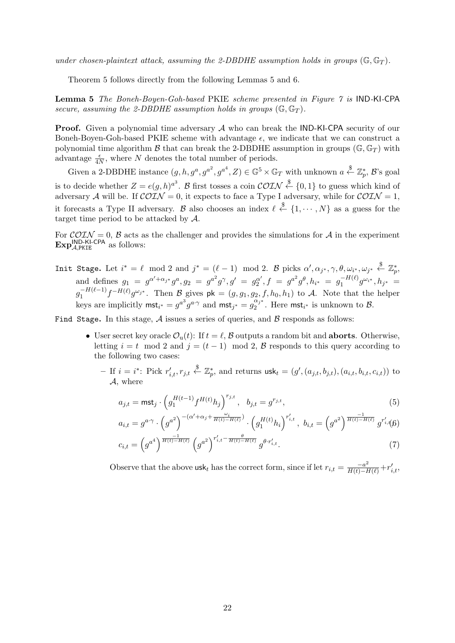*under chosen-plaintext attack, assuming the 2-DBDHE assumption holds in groups* ( $\mathbb{G}, \mathbb{G}_T$ ).

Theorem 5 follows directly from the following Lemmas 5 and 6.

**Lemma 5** *The Boneh-Boyen-Goh-based* PKIE *scheme presented in Figure 7 is* IND*-*KI*-*CPA *secure, assuming the 2-DBDHE assumption holds in groups*  $(\mathbb{G}, \mathbb{G}_T)$ *.* 

**Proof.** Given a polynomial time adversary A who can break the **IND-KI-CPA** security of our Boneh-Boyen-Goh-based PKIE scheme with advantage  $\epsilon$ , we indicate that we can construct a polynomial time algorithm *B* that can break the 2-DBDHE assumption in groups ( $\mathbb{G}, \mathbb{G}_T$ ) with advantage  $\frac{\epsilon}{4N}$ , where *N* denotes the total number of periods.

Given a 2-DBDHE instance  $(g, h, g^a, g^{a^2}, g^{a^4}, Z) \in \mathbb{G}^5 \times \mathbb{G}_T$  with unknown  $a \stackrel{\$}{\leftarrow} \mathbb{Z}_p^*$ ,  $\mathcal{B}$ 's goal is to decide whether  $Z = e(g, h)^{a^3}$ . *B* first tosses a coin  $\mathcal{COLN} \overset{\$}{\leftarrow} \{0, 1\}$  to guess which kind of adversary A will be. If  $\mathcal{COIN} = 0$ , it expects to face a Type I adversary, while for  $\mathcal{COIN} = 1$ , it forecasts a Type II adversary. *B* also chooses an index  $\ell \stackrel{\$}{\leftarrow} \{1, \cdots, N\}$  as a guess for the target time period to be attacked by *A*.

For  $\mathcal{COLN} = 0$ ,  $\mathcal{B}$  acts as the challenger and provides the simulations for  $\mathcal{A}$  in the experiment **Exp**<sup>IND-KI-CPA</sup> as follows:

Init Stage. Let  $i^* = \ell \mod 2$  and  $j^* = (\ell - 1) \mod 2$ . B picks  $\alpha', \alpha_{j^*}, \gamma, \theta, \omega_{i^*}, \omega_{j^*} \stackrel{\$}{\leftarrow} \mathbb{Z}_p^*$ and defines  $g_1 = g^{\alpha' + \alpha_{j^*}} g^a$ ,  $g_2 = g^{a^2} g^{\gamma}$ ,  $g' = g_2^{\alpha'}$ ,  $f = g^{a^2} g^{\theta}$ ,  $h_{i^*} = g_1^{-H(\ell)} g^{\omega_{i^*}}, h_{j^*} = g_2^{-H(\ell)} g^{\omega_{i^*}},$  $g_1^{-H(\ell-1)}f^{-H(\ell)}g^{\omega_{j^*}}$ . Then  $\mathcal{B}_s$  gives  $\mathsf{pk} = (g, g_1, g_2, f, h_0, h_1)$  to A. Note that the helper keys are implicitly  $mst_{i^*} = g^{a^3}g^{a\cdot\gamma}$  and  $mst_{j^*} = g_2^{\alpha_j^*}$  $\frac{\mu}{2}$ <sup>2</sup>. Here mst<sub>i</sub><sup>\*</sup> is unknown to B.

Find Stage**.** In this stage, *A* issues a series of queries, and *B* responds as follows:

- User secret key oracle  $\mathcal{O}_{\mathfrak{u}}(t)$ : If  $t = \ell$ ,  $\mathcal{B}$  outputs a random bit and **aborts**. Otherwise, letting  $i = t \mod 2$  and  $j = (t - 1) \mod 2$ ,  $\beta$  responds to this query according to the following two cases:
	- If  $i = i^*$ : Pick  $r'_{i,t}, r_{j,t} \stackrel{\$}{\leftarrow} \mathbb{Z}_p^*$ , and returns  $\mathsf{usk}_t = (g', (a_{j,t}, b_{j,t}), (a_{i,t}, b_{i,t}, c_{i,t}))$  to *A*, where

$$
a_{j,t} = \text{mst}_j \cdot \left( g_1^{H(t-1)} f^{H(t)} h_j \right)^{r_{j,t}}, \quad b_{j,t} = g^{r_{j,t}}, \tag{5}
$$

$$
a_{i,t} = g^{a \cdot \gamma} \cdot \left( g^{a^2} \right)^{-(\alpha' + \alpha_j + \frac{\omega_i}{H(t) - H(\ell)})} \cdot \left( g_1^{H(t)} h_i \right)^{r'_{i,t}}, \ b_{i,t} = \left( g^{a^2} \right)^{\frac{-1}{H(t) - H(\ell)}} g^{r'_{i,t}}(0)
$$

$$
c_{i,t} = \left(g^{a^4}\right)^{\frac{-1}{H(t) - H(\ell)}} \left(g^{a^2}\right)^{r'_{i,t} - \frac{\theta}{H(t) - H(\ell)}} g^{\theta \cdot r'_{i,t}}.
$$
\n<sup>(7)</sup>

Observe that the above usk<sub>*t*</sub> has the correct form, since if let  $r_{i,t} = \frac{-a^2}{H(t) - H(\ell)} + r'_{i,t}$ ,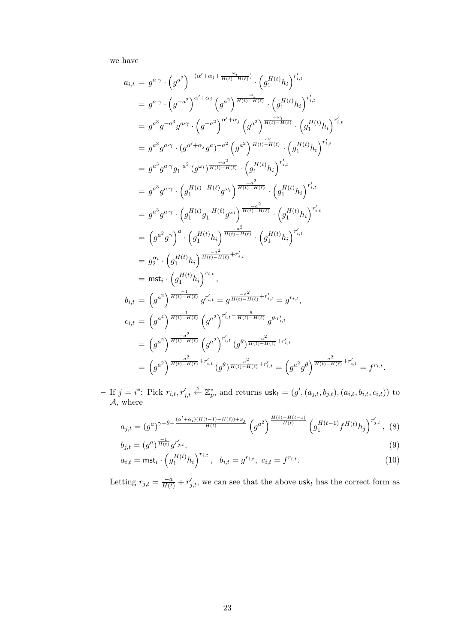we have

$$
a_{i,t} = g^{a\cdot \gamma} \cdot (g^{a^2})^{-(\alpha' + \alpha_j + \frac{\omega_i}{H(t) - H(\ell)})} \cdot (g_1^{H(t)} h_i)^{r'_{i,t}}
$$
\n
$$
= g^{a\cdot \gamma} \cdot (g^{-a^2})^{\alpha' + \alpha_j} (g^{a^2})^{\frac{\omega_i}{H(t) - H(\ell)}} \cdot (g_1^{H(t)} h_i)^{r'_{i,t}}
$$
\n
$$
= g^{a^3} g^{-a^3} g^{a \cdot \gamma} \cdot (g^{-a^2})^{\alpha' + \alpha_j} (g^{a^2})^{\frac{\omega_i}{H(t) - H(\ell)}} \cdot (g_1^{H(t)} h_i)^{r'_{i,t}}
$$
\n
$$
= g^{a^3} g^{a \cdot \gamma} \cdot (g^{\alpha' + \alpha_j} g^a)^{-a^2} (g^{a^2})^{\frac{\omega_i}{H(t) - H(\ell)}} \cdot (g_1^{H(t)} h_i)^{r'_{i,t}}
$$
\n
$$
= g^{a^3} g^{a \cdot \gamma} g_1^{-a^2} (g^{\omega_i})^{\frac{-a^2}{H(t) - H(\ell)}} \cdot (g_1^{H(t)} h_i)^{r'_{i,t}}
$$
\n
$$
= g^{a^3} g^{a \cdot \gamma} \cdot (g_1^{H(t) - H(\ell)} g^{\omega_i})^{\frac{-a^2}{H(t) - H(\ell)}} \cdot (g_1^{H(t)} h_i)^{r'_{i,t}}
$$
\n
$$
= g^{a^3} g^{a \cdot \gamma} \cdot (g_1^{H(t)} g_1^{-H(\ell)} g^{\omega_i})^{\frac{-a^2}{H(t) - H(\ell)}} \cdot (g_1^{H(t)} h_i)^{r'_{i,t}}
$$
\n
$$
= (g^{a^2} g^{\gamma})^a \cdot (g_1^{H(t)} h_i)^{\frac{-a^2}{H(t) - H(\ell)}} \cdot (g_1^{H(t)} h_i)^{r'_{i,t}}
$$
\n
$$
= g_2^{a_i} \cdot (g_1^{H(t)} h_i)^{\frac{-a^2}{H(t) - H(\ell)}} f_1^{H(t)}
$$
\n
$$
= \text{mst}_i \cdot (g_1^{H(t)} h_i)^{\frac{-a^2}{H(t) - H(\ell)}} f_1^{H(t)}
$$
\n
$$
b_{i,t} = (g^{a
$$

 $-$  If  $j = i^*$ : Pick  $r_{i,t}, r'_{j,t}$  $\overset{\$}{\leftarrow} \mathbb{Z}_p^*$ , and returns  $\textsf{usk}_t = (g', (a_{j,t}, b_{j,t}), (a_{i,t}, b_{i,t}, c_{i,t}))$  to *A*, where

$$
a_{j,t} = (g^a)^{\gamma - \theta - \frac{(\alpha' + \alpha_i)(H(t-1) - H(\ell)) + \omega_j}{H(t)}} \left( g^{a^2} \right)^{\frac{H(\ell) - H(t-1)}{H(t)}} \left( g_1^{H(t-1)} f^{H(t)} h_j \right)^{r'_{j,t}}, \tag{8}
$$

$$
b_{j,t} = (g^a)^{\frac{-1}{H(t)}} g^{r'_{j,t}},
$$
\n
$$
c_{j,t} = \text{mct} \left( c^{H(t)} h \right)^{r_{i,t}} \quad h_{j,t} = c^{r_{i,t}} c_{j,t} = f^{r_{i,t}} \tag{10}
$$

$$
a_{i,t} = \text{mst}_i \cdot \left( g_1^{H(t)} h_i \right)^{r_{i,t}}, \quad b_{i,t} = g^{r_{i,t}}, \quad c_{i,t} = f^{r_{i,t}}.
$$
 (10)

Letting  $r_{j,t} = \frac{-a}{H(t)} + r'_{j,t}$ , we can see that the above usk<sub>t</sub> has the correct form as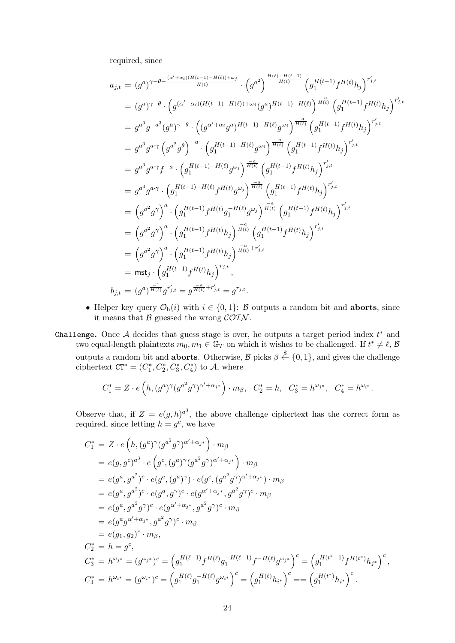required, since

$$
a_{j,t} = (g^a)^{\gamma - \theta - \frac{(\alpha' + \alpha_i)(H(t-1) - H(\ell)) + \omega_j}{H(t)}} \cdot (g^{a^2})^{\frac{H(\ell) - H(t-1)}{H(t)}} (g_1^{H(t-1)} f^{H(t)} h_j)^{r'_{j,t}}
$$
  
\n
$$
= (g^a)^{\gamma - \theta} \cdot (g^{(\alpha' + \alpha_i)(H(t-1) - H(\ell)) + \omega_j} (g^a)^{H(t-1) - H(\ell)})^{\frac{-a}{H(t)}} (g_1^{H(t-1)} f^{H(t)} h_j)^{r'_{j,t}}
$$
  
\n
$$
= g^{a^3} g^{-a^3} (g^a)^{\gamma - \theta} \cdot ((g^{\alpha' + \alpha_i} g^a)^{H(t-1) - H(\ell)} g^{\omega_j})^{\frac{-a}{H(t)}} (g_1^{H(t-1)} f^{H(t)} h_j)^{r'_{j,t}}
$$
  
\n
$$
= g^{a^3} g^{a \cdot \gamma} (g^{a^2} g^{\theta})^{-a} \cdot (g_1^{H(t-1) - H(\ell)} g^{\omega_j})^{\frac{-a}{H(t)}} (g_1^{H(t-1)} f^{H(t)} h_j)^{r'_{j,t}}
$$
  
\n
$$
= g^{a^3} g^{a \cdot \gamma} f^{-a} \cdot (g_1^{H(t-1) - H(\ell)} f^{H(t)} g^{\omega_j})^{\frac{-a}{H(t)}} (g_1^{H(t-1)} f^{H(t)} h_j)^{r'_{j,t}}
$$
  
\n
$$
= (g^{a^2} g^{\gamma})^a \cdot (g_1^{H(t-1) - H(\ell)} f^{H(t)} g_1^{-H(\ell)} g^{\omega_j})^{\frac{-a}{H(t)}} (g_1^{H(t-1)} f^{H(t)} h_j)^{r'_{j,t}}
$$
  
\n
$$
= (g^{a^2} g^{\gamma})^a \cdot (g_1^{H(t-1)} f^{H(t)} h_j)^{\frac{-a}{H(t)}} (g_1^{H(t-1)} f^{H(t)} h_j)^{r'_{j,t}}
$$
  
\n
$$
= (g^{a^2} g^{\gamma})^a \cdot (g_1^{H(t-1)} f^{H(t)} h_j)^{\frac{-a}{H(t)}} r'_{j,t}
$$
  
\n
$$
= \max_j \cdot (g_1^{H(t-1)} f^{H(t)}
$$

- *•* Helper key query  $\mathcal{O}_{h}(i)$  with  $i \in \{0, 1\}$ : *B* outputs a random bit and **aborts**, since it means that *B* guessed the wrong *COIN* .
- Challenge**.** Once *A* decides that guess stage is over, he outputs a target period index *t ∗* and two equal-length plaintexts  $m_0, m_1 \in \mathbb{G}_T$  on which it wishes to be challenged. If  $t^* \neq \ell, \mathcal{B}$ outputs a random bit and **aborts**. Otherwise,  $\mathcal{B}$  picks  $\beta \stackrel{\$}{\leftarrow} \{0,1\}$ , and gives the challenge ciphertext  $CT^* = (C_1^*, C_2^*, C_3^*, C_4^*)$  to *A*, where

$$
C_1^* = Z \cdot e\left(h, (g^a)^{\gamma}(g^{a^2}g^{\gamma})^{\alpha' + \alpha_{j^*}}\right) \cdot m_{\beta}, \quad C_2^* = h, \quad C_3^* = h^{\omega_{j^*}}, \quad C_4^* = h^{\omega_{i^*}}.
$$

Observe that, if  $Z = e(g, h)^{a^3}$ , the above challenge ciphertext has the correct form as required, since letting  $h = g^c$ , we have

$$
C_{1}^{*} = Z \cdot e(h, (g^{a})^{\gamma} (g^{a^{2}} g^{\gamma})^{\alpha' + \alpha_{j^{*}}} ) \cdot m_{\beta}
$$
  
\n
$$
= e(g, g^{c})^{a^{3}} \cdot e(g^{c}, (g^{a})^{\gamma} (g^{a^{2}} g^{\gamma})^{\alpha' + \alpha_{j^{*}}} ) \cdot m_{\beta}
$$
  
\n
$$
= e(g^{a}, g^{a^{2}})^{c} \cdot e(g^{c}, (g^{a})^{\gamma}) \cdot e(g^{c}, (g^{a^{2}} g^{\gamma})^{\alpha' + \alpha_{j^{*}}} ) \cdot m_{\beta}
$$
  
\n
$$
= e(g^{a}, g^{a^{2}})^{c} \cdot e(g^{a}, g^{\gamma})^{c} \cdot e(g^{\alpha' + \alpha_{j^{*}}, g^{a^{2}} g^{\gamma})^{c} \cdot m_{\beta}
$$
  
\n
$$
= e(g^{a}, g^{a^{2}} g^{\gamma})^{c} \cdot e(g^{\alpha' + \alpha_{j^{*}}, g^{a^{2}} g^{\gamma})^{c} \cdot m_{\beta}
$$
  
\n
$$
= e(g^{a}, g^{\alpha'} + \alpha_{j^{*}}, g^{a^{2}} g^{\gamma})^{c} \cdot m_{\beta}
$$
  
\n
$$
= e(g_{1}, g_{2})^{c} \cdot m_{\beta},
$$
  
\n
$$
C_{2}^{*} = h = g^{c},
$$
  
\n
$$
C_{3}^{*} = h^{\omega_{j^{*}}} = (g^{\omega_{j^{*}}})^{c} = (g_{1}^{H(\ell-1)} f^{H(\ell)} g_{1}^{-H(\ell-1)} f^{-H(\ell)} g^{\omega_{j^{*}}})^{c} = (g_{1}^{H(t^{*}-1)} f^{H(t^{*})} h_{j^{*}})^{c},
$$
  
\n
$$
C_{4}^{*} = h^{\omega_{i^{*}}} = (g^{\omega_{i^{*}}})^{c} = (g_{1}^{H(\ell)} g_{1}^{-H(\ell)} g^{\omega_{i^{*}}})^{c} = (g_{1}^{H(\ell)} h_{i^{*}})^{c} = (g_{1}^{H(t^{*})} h_{i^{*}})^{c}.
$$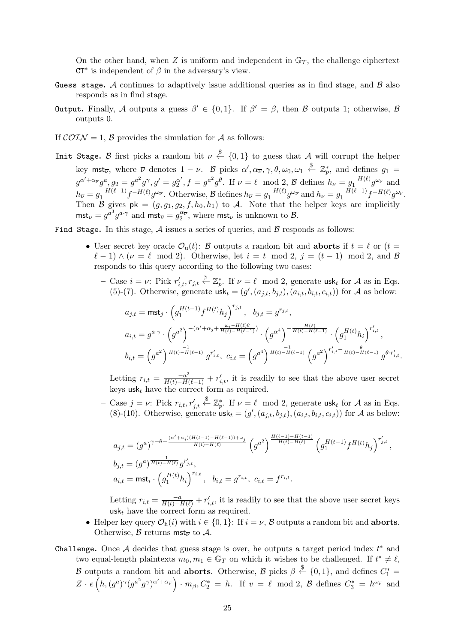On the other hand, when  $Z$  is uniform and independent in  $\mathbb{G}_T$ , the challenge ciphertext CT*∗* is independent of *β* in the adversary's view.

- Guess stage**.** *A* continues to adaptively issue additional queries as in find stage, and *B* also responds as in find stage.
- Output**.** Finally, *A* outputs a guess *β ′ ∈ {*0*,* 1*}*. If *β ′* = *β*, then *B* outputs 1; otherwise, *B* outputs 0.
- If  $\mathcal{COLN} = 1$ ,  $\mathcal{B}$  provides the simulation for  $\mathcal{A}$  as follows:
- Init Stage. *B* first picks a random bit  $\nu \stackrel{\$}{\leftarrow} \{0,1\}$  to guess that *A* will corrupt the helper key mst<sub>*v*</sub>, where *v* denotes  $1 - \nu$ . *B* picks  $\alpha', \alpha_{\nu}, \gamma, \theta, \omega_0, \omega_1 \stackrel{\$}{\leftarrow} \mathbb{Z}_p^*$ , and defines  $g_1 =$  $g^{\alpha'+\alpha_{\overline{\nu}}}g^a$ ,  $g_2 = g^{a^2}g^{\gamma}, g' = g_2^{\alpha'}, f = g^{a^2}g^{\theta}$ . If  $\nu = \ell \mod 2$ ,  $\mathcal B$  defines  $h_{\nu} = g_1^{-H(\ell)}g^{\omega_{\nu}}$  and  $h_{\overline{\nu}} = g_1^{-H(\ell-1)} f^{-H(\ell)} g^{\omega_{\overline{\nu}}}$ . Otherwise,  $\mathcal{B}$  defines  $h_{\overline{\nu}} = g_1^{-H(\ell)} g^{\omega_{\overline{\nu}}}$  and  $h_{\nu} = g_1^{-H(\ell-1)} f^{-H(\ell)} g^{\omega_{\nu}}$ . Then *B* gives  $pk = (g, g_1, g_2, f, h_0, h_1)$  to *A*. Note that the helper keys are implicitly  $m$ st<sub>*ν*</sub> =  $g^{a^3} g^{a \cdot \gamma}$  and  $m$ st<sub>*v*</sub> =  $g_2^{\alpha \gamma}$ , where  $m$ st<sub>*v*</sub> is unknown to *B*.

Find Stage**.** In this stage, *A* issues a series of queries, and *B* responds as follows:

- User secret key oracle  $\mathcal{O}_u(t)$ : *B* outputs a random bit and **aborts** if  $t = \ell$  or  $(t =$  $\ell - 1$ )  $\wedge (\overline{\nu} = \ell \mod 2)$ . Otherwise, let  $i = t \mod 2$ ,  $j = (t - 1) \mod 2$ , and *B* responds to this query according to the following two cases:
	- $-$  Case  $i = \nu$ : Pick  $r'_{i,t}, r_{j,t} \stackrel{\$}{\leftarrow} \mathbb{Z}_p^*$ . If  $\nu = \ell \mod 2$ , generate usk<sub>t</sub> for *A* as in Eqs. (5)-(7). Otherwise, generate  $usk_t = (g', (a_{j,t}, b_{j,t}), (a_{i,t}, b_{i,t}, c_{i,t}))$  for *A* as below:

$$
\begin{aligned} a_{j,t} &= \mathsf{mst}_j \cdot \left( g_1^{H(t-1)} f^{H(t)} h_j \right)^{r_{j,t}}, \quad b_{j,t} = g^{r_{j,t}}, \\ a_{i,t} &= g^{a \cdot \gamma} \cdot \left( g^{a^2} \right)^{-(\alpha' + \alpha_j + \frac{\omega_i - H(\ell) \theta}{H(t) - H(\ell - 1)})} \cdot \left( g^{\alpha^4} \right)^{-\frac{H(\ell)}{H(t) - H(\ell - 1)}} \cdot \left( g_1^{H(t)} h_i \right)^{r'_{i,t}}, \\ b_{i,t} &= \left( g^{a^2} \right)^{\frac{-1}{H(t) - H(\ell - 1)}} g^{r'_{i,t}}, \quad c_{i,t} = \left( g^{a^4} \right)^{\frac{-1}{H(t) - H(\ell - 1)}} \left( g^{a^2} \right)^{r'_{i,t} - \frac{\theta}{H(t) - H(\ell - 1)}} g^{\theta \cdot r'_{i,t}}. \end{aligned}
$$

Letting  $r_{i,t} = \frac{-a^2}{H(t) - H(\ell - 1)} + r'_{i,t}$ , it is readily to see that the above user secret keys  $\mathsf{usk}_t$  have the correct form as required.

**–** Case *j* = *ν*: Pick *ri,t, r′ j,t*  $\overset{\$}{\leftarrow} \mathbb{Z}_p^*$ . If  $\nu = \ell \mod 2$ , generate usk<sub>t</sub> for *A* as in Eqs. (8)-(10). Otherwise, generate  $usk_t = (g', (a_{j,t}, b_{j,t}), (a_{i,t}, b_{i,t}, c_{i,t}))$  for *A* as below:

$$
\begin{split} &a_{j,t} = (g^a)^{\gamma - \theta - \frac{(\alpha' + \alpha_i)(H(t-1) - H(\ell-1)) + \omega_j}{H(t) - H(\ell)}} \left( g^{a^2} \right)^{\frac{H(\ell-1) - H(t-1)}{H(t) - H(\ell)}} \left( g^{H(t-1)} f^{H(t)} h_j \right)^{r'_{j,t}}, \\ &b_{j,t} = (g^a)^{\frac{-1}{H(t) - H(\ell)}} g^{r'_{j,t}}, \\ &a_{i,t} = \mathsf{mst}_i \cdot \left( g_1^{H(t)} h_i \right)^{r_{i,t}}, \quad b_{i,t} = g^{r_{i,t}}, \ c_{i,t} = f^{r_{i,t}}. \end{split}
$$

Letting  $r_{i,t} = \frac{-a}{H(t) - H(\ell)} + r'_{i,t}$ , it is readily to see that the above user secret keys usk<sub>t</sub> have the correct form as required.

*•* Helper key query *O*h(*i*) with *i ∈ {*0*,* 1*}*: If *i* = *ν*, *B* outputs a random bit and **aborts**. Otherwise,  $\beta$  returns mst<sub> $\overline{\nu}$ </sub> to  $\overline{\mathcal{A}}$ .

Challenge**.** Once *A* decides that guess stage is over, he outputs a target period index *t ∗* and two equal-length plaintexts  $m_0, m_1 \in \mathbb{G}_T$  on which it wishes to be challenged. If  $t^* \neq \ell$ , *B* outputs a random bit and **aborts**. Otherwise, *B* picks  $\beta \stackrel{\$}{\leftarrow} \{0,1\}$ , and defines  $C_1^* =$  $Z \cdot e(h,(g^a)^{\gamma}(g^{a^2}g^{\gamma})^{\alpha'+\alpha_{\overline{\nu}}}) \cdot m_{\beta}, C_2^* = h$ . If  $v = \ell \mod 2$ ,  $\beta$  defines  $C_3^* = h^{\omega_{\overline{\nu}}}$  and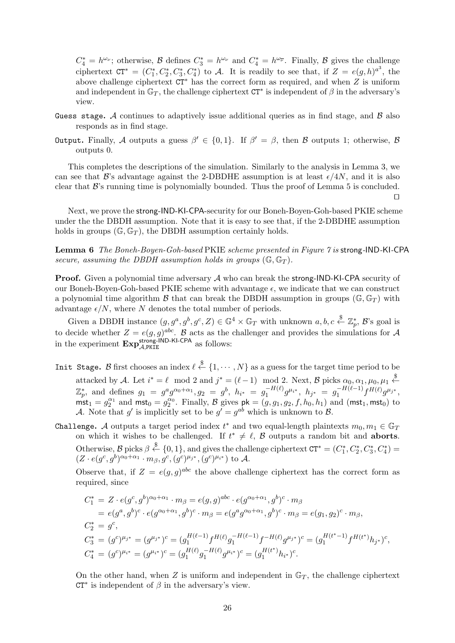$C_4^* = h^{\omega_{\nu}}$ ; otherwise, *B* defines  $C_3^* = h^{\omega_{\nu}}$  and  $C_4^* = h^{\omega_{\overline{\nu}}}$ . Finally, *B* gives the challenge ciphertext  $CT^* = (C^*_1, C^*_2, C^*_3, C^*_4)$  to *A*. It is readily to see that, if  $Z = e(g, h)^{a^3}$ , the above challenge ciphertext CT*<sup>∗</sup>* has the correct form as required, and when *Z* is uniform and independent in  $\mathbb{G}_T$ , the challenge ciphertext  $\mathsf{CT}^*$  is independent of  $\beta$  in the adversary's view.

- Guess stage**.** *A* continues to adaptively issue additional queries as in find stage, and *B* also responds as in find stage.
- Output**.** Finally, *A* outputs a guess *β ′ ∈ {*0*,* 1*}*. If *β ′* = *β*, then *B* outputs 1; otherwise, *B* outputs 0.

This completes the descriptions of the simulation. Similarly to the analysis in Lemma 3, we can see that *B*'s advantage against the 2-DBDHE assumption is at least  $\epsilon/4N$ , and it is also clear that *B*'s running time is polynomially bounded. Thus the proof of Lemma 5 is concluded.

*⊔⊓*

Next, we prove the strong-IND-KI-CPA-security for our Boneh-Boyen-Goh-based PKIE scheme under the the DBDH assumption. Note that it is easy to see that, if the 2-DBDHE assumption holds in groups  $(\mathbb{G}, \mathbb{G}_T)$ , the DBDH assumption certainly holds.

**Lemma 6** *The Boneh-Boyen-Goh-based* PKIE *scheme presented in Figure 7 is* strong*-*IND*-*KI*-*CPA *secure, assuming the DBDH assumption holds in groups*  $(\mathbb{G}, \mathbb{G}_T)$ *.* 

**Proof.** Given a polynomial time adversary *A* who can break the strong-IND-KI-CPA security of our Boneh-Boyen-Goh-based PKIE scheme with advantage  $\epsilon$ , we indicate that we can construct a polynomial time algorithm *B* that can break the DBDH assumption in groups  $(\mathbb{G}, \mathbb{G}_T)$  with advantage  $\epsilon/N$ , where N denotes the total number of periods.

Given a DBDH instance  $(g, g^a, g^b, g^c, Z) \in \mathbb{G}^4 \times \mathbb{G}_T$  with unknown  $a, b, c \stackrel{\$}{\leftarrow} \mathbb{Z}_p^*, \mathcal{B}$ 's goal is *p* to decide whether  $Z = e(g, g)^{abc}$ . *B* acts as the challenger and provides the simulations for *A* in the experiment  $\mathbf{Exp}_{\mathcal{A},\text{PKIE}}^{\text{strong-IND-KI-CPA}}$  as follows:

- Init Stage. *B* first chooses an index  $\ell \stackrel{\$}{\leftarrow} \{1, \cdots, N\}$  as a guess for the target time period to be attacked by *A*. Let  $i^* = \ell \mod 2$  and  $j^* = (\ell - 1) \mod 2$ . Next, *B* picks  $\alpha_0, \alpha_1, \mu_0, \mu_1 \stackrel{\$}{\leftarrow}$  $\mathbb{Z}_p^*,$  and defines  $g_1 = g^a g^{\alpha_0 + \alpha_1}, g_2 = g^b, h_{i^*} = g_1^{-H(\ell)} g^{\mu_{i^*}}, h_{j^*} = g_1^{-H(\ell-1)} f^{H(\ell)} g^{\mu_{j^*}},$  $\mathbf{mst}_1 = g_2^{\alpha_1}$  and  $\mathbf{mst}_0 = g_2^{\alpha_0}$ . Finally, *B* gives  $\mathbf{pk} = (g, g_1, g_2, f, h_0, h_1)$  and  $(\mathbf{mst}_1, \mathbf{mst}_0)$  to *A*. Note that *g*' is implicitly set to be  $g' = g^{ab}$  which is unknown to *B*.
- Challenge. *A* outputs a target period index  $t^*$  and two equal-length plaintexts  $m_0, m_1 \in \mathbb{G}_T$ on which it wishes to be challenged. If  $t^* \neq \ell$ ,  $\beta$  outputs a random bit and **aborts**. Otherwise,  $\mathcal{B}$  picks  $\beta \stackrel{\$}{\leftarrow} \{0,1\}$ , and gives the challenge ciphertext  $CT^* = (C_1^*, C_2^*, C_3^*, C_4^*)$  $(Z \cdot e(g^c, g^b)^{\alpha_0 + \alpha_1} \cdot m_\beta, g^c, (g^c)^{\mu_{j^*}}, (g^c)^{\mu_{i^*}})$  to A.

Observe that, if  $Z = e(g, g)^{abc}$  the above challenge ciphertext has the correct form as required, since

$$
C_1^* = Z \cdot e(g^c, g^b)^{\alpha_0 + \alpha_1} \cdot m_\beta = e(g, g)^{abc} \cdot e(g^{\alpha_0 + \alpha_1}, g^b)^c \cdot m_\beta
$$
  
\n
$$
= e(g^a, g^b)^c \cdot e(g^{\alpha_0 + \alpha_1}, g^b)^c \cdot m_\beta = e(g^a g^{\alpha_0 + \alpha_1}, g^b)^c \cdot m_\beta = e(g_1, g_2)^c \cdot m_\beta,
$$
  
\n
$$
C_2^* = g^c,
$$
  
\n
$$
C_3^* = (g^c)^{\mu_{j^*}} = (g^{\mu_{j^*}})^c = (g_1^{H(\ell-1)} f^{H(\ell)} g_1^{-H(\ell-1)} f^{-H(\ell)} g^{\mu_{j^*}})^c = (g_1^{H(t^*-1)} f^{H(t^*)} h_{j^*})^c,
$$
  
\n
$$
C_4^* = (g^c)^{\mu_{i^*}} = (g^{\mu_{i^*}})^c = (g_1^{H(\ell)} g_1^{-H(\ell)} g^{\mu_{i^*}})^c = (g_1^{H(t^*)} h_{i^*})^c.
$$

On the other hand, when  $Z$  is uniform and independent in  $\mathbb{G}_T$ , the challenge ciphertext CT*∗* is independent of *β* in the adversary's view.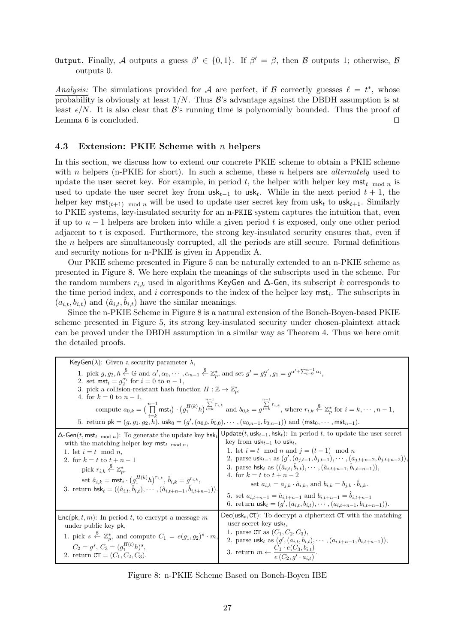Output**.** Finally, *A* outputs a guess *β ′ ∈ {*0*,* 1*}*. If *β ′* = *β*, then *B* outputs 1; otherwise, *B* outputs 0.

*Analysis:* The simulations provided for *A* are perfect, if *B* correctly guesses  $\ell = t^*$ , whose probability is obviously at least 1*/N*. Thus *B*'s advantage against the DBDH assumption is at least  $\epsilon/N$ . It is also clear that *B*'s running time is polynomially bounded. Thus the proof of Lemma 6 is concluded. *⊔⊓*

# **4.3 Extension: PKIE Scheme with** *n* **helpers**

In this section, we discuss how to extend our concrete PKIE scheme to obtain a PKIE scheme with *n* helpers (n-PKIE for short). In such a scheme, these *n* helpers are *alternately* used to update the user secret key. For example, in period t, the helper with helper key  $mst_t$  mod n is used to update the user secret key from  $\text{usk}_{t-1}$  to  $\text{usk}_t$ . While in the next period  $t+1$ , the helper key  $\textsf{mst}_{(t+1)}$  mod *n* will be used to update user secret key from  $\textsf{usk}_t$  to  $\textsf{usk}_{t+1}$ . Similarly to PKIE systems, key-insulated security for an n-PKIE system captures the intuition that, even if up to *n −* 1 helpers are broken into while a given period *t* is exposed, only one other period adjacent to *t* is exposed. Furthermore, the strong key-insulated security ensures that, even if the *n* helpers are simultaneously corrupted, all the periods are still secure. Formal definitions and security notions for n-PKIE is given in Appendix A.

Our PKIE scheme presented in Figure 5 can be naturally extended to an n-PKIE scheme as presented in Figure 8. We here explain the meanings of the subscripts used in the scheme. For the random numbers  $r_{i,k}$  used in algorithms KeyGen and  $\Delta$ -Gen, its subscript k corresponds to the time period index, and *i* corresponds to the index of the helper key mst*<sup>i</sup>* . The subscripts in  $(a_{i,t}, b_{i,t})$  and  $(\hat{a}_{i,t}, \hat{b}_{i,t})$  have the similar meanings.

Since the n-PKIE Scheme in Figure 8 is a natural extension of the Boneh-Boyen-based PKIE scheme presented in Figure 5, its strong key-insulated security under chosen-plaintext attack can be proved under the DBDH assumption in a similar way as Theorem 4. Thus we here omit the detailed proofs.

| KeyGen( $\lambda$ ): Given a security parameter $\lambda$ ,                                                                                                                                                                                                                                                                                                                                                                                                                                                                                                          |                                                                                                                                                                                                                                                                                                                                                                                                                                                                                                                                                                                                                                                                                                        |
|----------------------------------------------------------------------------------------------------------------------------------------------------------------------------------------------------------------------------------------------------------------------------------------------------------------------------------------------------------------------------------------------------------------------------------------------------------------------------------------------------------------------------------------------------------------------|--------------------------------------------------------------------------------------------------------------------------------------------------------------------------------------------------------------------------------------------------------------------------------------------------------------------------------------------------------------------------------------------------------------------------------------------------------------------------------------------------------------------------------------------------------------------------------------------------------------------------------------------------------------------------------------------------------|
| 1. pick $g, g_2, h \stackrel{\$}{\leftarrow} \mathbb{G}$ and $\alpha', \alpha_0, \cdots, \alpha_{n-1} \stackrel{\$}{\leftarrow} \mathbb{Z}_n^*$ , and set $g' = g_2^{\alpha'}$ , $g_1 = g^{\alpha' + \sum_{i=0}^{n-1} \alpha_i}$ .<br>2. set $\text{mst}_i = g_2^{\alpha_i}$ for $i = 0$ to $n-1$ ,<br>3. pick a collision-resistant hash function $H : \mathbb{Z} \to \mathbb{Z}_p^*$ ,<br>4. for $k = 0$ to $n - 1$ ,<br>5. return $pk = (g, g_1, g_2, h)$ , $usk_0 = (g', (a_{0,0}, b_{0,0}), \cdots, (a_{0,n-1}, b_{0,n-1}))$ and $(mst_0, \cdots, mst_{n-1})$ . | compute $a_{0,k} = \left(\prod_{i=1}^{n-1} \text{mst}_i\right) \cdot \left(g_1^{H(k)}h\right)^{\sum_{i=k}^{n} r_{i,k}}$ and $b_{0,k} = g^{\sum_{i=k}^{n} r_{i,k}}$ , where $r_{i,k} \stackrel{\$}{\leftarrow} \mathbb{Z}_p^*$ for $i = k, \cdots, n-1$ ,                                                                                                                                                                                                                                                                                                                                                                                                                                               |
| $\Delta$ -Gen(t, mst <sub>t mod n</sub> ): To generate the update key hsk <sub>t</sub><br>with the matching helper key $mst_{t \mod n}$ ,<br>1. let $i = t \mod n$ ,<br>2. for $k = t$ to $t + n - 1$<br>pick $r_{i,k} \overset{\$}{\leftarrow} \mathbb{Z}_n^*$<br>set $\hat{a}_{i,k} = \text{mst}_i \cdot (g_1^{H(k)} h)^{r_{i,k}}, \hat{b}_{i,k} = g^{r_{i,k}},$<br>3. return $\mathsf{hsk}_t = ((\hat{a}_{i,t}, \hat{b}_{i,t}), \cdots, (\hat{a}_{i,t+n-1}, \hat{b}_{i,t+n-1})).$                                                                                 | Update(t, $usk_{t-1}$ , hsk <sub>t</sub> ): In period t, to update the user secret<br>key from $usk_{t-1}$ to usk <sub>t</sub> ,<br>1. let $i = t \mod n$ and $j = (t-1) \mod n$<br>2. parse usk <sub>t-1</sub> as $(g', (a_{j,t-1}, b_{j,t-1}), \cdots, (a_{j,t+n-2}, b_{j,t+n-2})),$<br>3. parse hsk <sub>t</sub> as $((\hat{a}_{i,t}, b_{i,t}), \cdots, (\hat{a}_{i,t+n-1}, b_{i,t+n-1})),$<br>4. for $k = t$ to $t + n - 2$<br>set $a_{i,k} = a_{j,k} \cdot \hat{a}_{i,k}$ , and $b_{i,k} = b_{j,k} \cdot b_{i,k}$ .<br>5. set $a_{i,t+n-1} = \hat{a}_{i,t+n-1}$ and $b_{i,t+n-1} = \hat{b}_{i,t+n-1}$<br>6. return $\text{usk}_t = (g', (a_{i,t}, b_{i,t}), \cdots, (a_{i,t+n-1}, b_{i,t+n-1})).$ |
| $Enc(\mathsf{pk}, t, m)$ : In period t, to encrypt a message m<br>under public key pk,<br>1. pick $s \stackrel{\$}{\leftarrow} \mathbb{Z}_p^*$ , and compute $C_1 = e(g_1, g_2)^s \cdot m$ ,<br>$C_2 = g^s$ , $C_3 = (g_1^{H(t)}h)^s$ ,<br>2. return $CT = (C_1, C_2, C_3)$ .                                                                                                                                                                                                                                                                                        | $Dec(\text{usk}_t, \text{CT})$ : To decrypt a ciphertext CT with the matching<br>user secret key usk <sub>t</sub> ,<br>1. parse CT as $(C_1, C_2, C_3)$ ,<br>2. parse usk <sub>t</sub> as $(g', (a_{i,t}, b_{i,t}), \cdots, (a_{i,t+n-1}, b_{i,t+n-1})),$<br>3. return $m \leftarrow \frac{C_1 \cdot e(C_3, b_{i,t})}{e(C_2, g' \cdot a_{i,t})}$ .                                                                                                                                                                                                                                                                                                                                                     |

Figure 8: n-PKIE Scheme Based on Boneh-Boyen IBE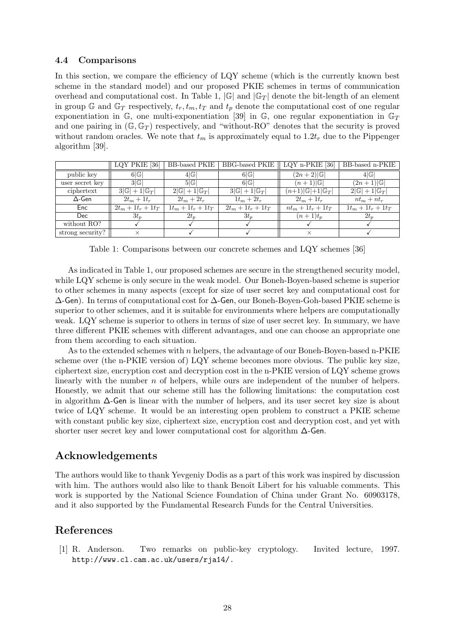# **4.4 Comparisons**

In this section, we compare the efficiency of LQY scheme (which is the currently known best scheme in the standard model) and our proposed PKIE schemes in terms of communication overhead and computational cost. In Table 1,  $|\mathbb{G}|$  and  $|\mathbb{G}_T|$  denote the bit-length of an element in group G and  $\mathbb{G}_T$  respectively,  $t_r, t_m, t_T$  and  $t_p$  denote the computational cost of one regular exponentiation in  $\mathbb{G}$ , one multi-exponentiation [39] in  $\mathbb{G}$ , one regular exponentiation in  $\mathbb{G}_T$ and one pairing in  $(\mathbb{G}, \mathbb{G}_T)$  respectively, and "without-RO" denotes that the security is proved without random oracles. We note that  $t_m$  is approximately equal to  $1.2t_r$  due to the Pippenger algorithm [39].

|                  | LQY PKIE [36]                   | BB-based PKIE                   |                                 | BBG-based PKIE $\parallel$ LQY n-PKIE [36] | BB-based n-PKIE                 |
|------------------|---------------------------------|---------------------------------|---------------------------------|--------------------------------------------|---------------------------------|
| public key       | 6 G                             | 4 G                             | 6 G                             | $(2n+2) \mathbb{G} $                       | 4 G                             |
| user secret key  | 3 G                             | 5 G                             | 6 G                             | $(n+1) \mathbb{G} $                        | $(2n+1) \mathbb{G} $            |
| ciphertext       | $3 \mathbb{G} +1 \mathbb{G}_T $ | $2 \mathbb{G} +1 \mathbb{G}_T $ | $3 \mathbb{G} +1 \mathbb{G}_T $ | $(n+1) \mathbb{G} +1 \mathbb{G}_T $        | $2 \mathbb{G} +1 \mathbb{G}_T $ |
| $\Delta$ -Gen    | $2t_m+1$                        | $2t_m+2t_r$                     | $1t_m+2t_r$                     | $2t_m+1$                                   | $nt_m + nt_r$                   |
| Enc              | $2t_m + 1t_r + 1t_T$            | $1t_m + 1t_r + 1t_T$            | $2t_m + 1t_r + 1t_T$            | $nt_m + 1t_r + 1t_T$                       | $1t_m + 1t_r + 1t_T$            |
| <b>Dec</b>       | $3t_n$                          | $2t_n$                          | $3t_n$                          | $(n+1)t_{n}$                               | $2t_n$                          |
| without RO?      |                                 |                                 |                                 |                                            |                                 |
| strong security? | $\times$                        |                                 |                                 |                                            |                                 |

Table 1: Comparisons between our concrete schemes and LQY schemes [36]

As indicated in Table 1, our proposed schemes are secure in the strengthened security model, while LQY scheme is only secure in the weak model. Our Boneh-Boyen-based scheme is superior to other schemes in many aspects (except for size of user secret key and computational cost for ∆-Gen). In terms of computational cost for ∆-Gen, our Boneh-Boyen-Goh-based PKIE scheme is superior to other schemes, and it is suitable for environments where helpers are computationally weak. LQY scheme is superior to others in terms of size of user secret key. In summary, we have three different PKIE schemes with different advantages, and one can choose an appropriate one from them according to each situation.

As to the extended schemes with *n* helpers, the advantage of our Boneh-Boyen-based n-PKIE scheme over (the n-PKIE version of) LQY scheme becomes more obvious. The public key size, ciphertext size, encryption cost and decryption cost in the n-PKIE version of LQY scheme grows linearly with the number *n* of helpers, while ours are independent of the number of helpers. Honestly, we admit that our scheme still has the following limitations: the computation cost in algorithm ∆-Gen is linear with the number of helpers, and its user secret key size is about twice of LQY scheme. It would be an interesting open problem to construct a PKIE scheme with constant public key size, ciphertext size, encryption cost and decryption cost, and yet with shorter user secret key and lower computational cost for algorithm ∆-Gen.

# **Acknowledgements**

The authors would like to thank Yevgeniy Dodis as a part of this work was inspired by discussion with him. The authors would also like to thank Benoît Libert for his valuable comments. This work is supported by the National Science Foundation of China under Grant No. 60903178, and it also supported by the Fundamental Research Funds for the Central Universities.

# **References**

[1] R. Anderson. Two remarks on public-key cryptology. Invited lecture, 1997. http://www.cl.cam.ac.uk/users/rja14/.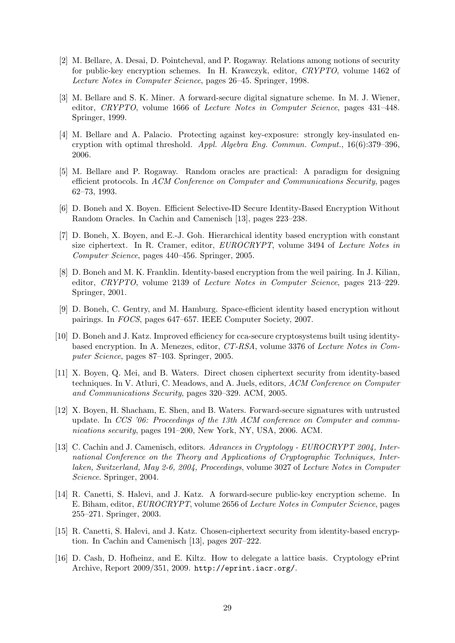- [2] M. Bellare, A. Desai, D. Pointcheval, and P. Rogaway. Relations among notions of security for public-key encryption schemes. In H. Krawczyk, editor, *CRYPTO*, volume 1462 of *Lecture Notes in Computer Science*, pages 26–45. Springer, 1998.
- [3] M. Bellare and S. K. Miner. A forward-secure digital signature scheme. In M. J. Wiener, editor, *CRYPTO*, volume 1666 of *Lecture Notes in Computer Science*, pages 431–448. Springer, 1999.
- [4] M. Bellare and A. Palacio. Protecting against key-exposure: strongly key-insulated encryption with optimal threshold. *Appl. Algebra Eng. Commun. Comput.*, 16(6):379–396, 2006.
- [5] M. Bellare and P. Rogaway. Random oracles are practical: A paradigm for designing efficient protocols. In *ACM Conference on Computer and Communications Security*, pages 62–73, 1993.
- [6] D. Boneh and X. Boyen. Efficient Selective-ID Secure Identity-Based Encryption Without Random Oracles. In Cachin and Camenisch [13], pages 223–238.
- [7] D. Boneh, X. Boyen, and E.-J. Goh. Hierarchical identity based encryption with constant size ciphertext. In R. Cramer, editor, *EUROCRYPT*, volume 3494 of *Lecture Notes in Computer Science*, pages 440–456. Springer, 2005.
- [8] D. Boneh and M. K. Franklin. Identity-based encryption from the weil pairing. In J. Kilian, editor, *CRYPTO*, volume 2139 of *Lecture Notes in Computer Science*, pages 213–229. Springer, 2001.
- [9] D. Boneh, C. Gentry, and M. Hamburg. Space-efficient identity based encryption without pairings. In *FOCS*, pages 647–657. IEEE Computer Society, 2007.
- [10] D. Boneh and J. Katz. Improved efficiency for cca-secure cryptosystems built using identitybased encryption. In A. Menezes, editor, *CT-RSA*, volume 3376 of *Lecture Notes in Computer Science*, pages 87–103. Springer, 2005.
- [11] X. Boyen, Q. Mei, and B. Waters. Direct chosen ciphertext security from identity-based techniques. In V. Atluri, C. Meadows, and A. Juels, editors, *ACM Conference on Computer and Communications Security*, pages 320–329. ACM, 2005.
- [12] X. Boyen, H. Shacham, E. Shen, and B. Waters. Forward-secure signatures with untrusted update. In *CCS '06: Proceedings of the 13th ACM conference on Computer and communications security*, pages 191–200, New York, NY, USA, 2006. ACM.
- [13] C. Cachin and J. Camenisch, editors. *Advances in Cryptology EUROCRYPT 2004, International Conference on the Theory and Applications of Cryptographic Techniques, Interlaken, Switzerland, May 2-6, 2004, Proceedings*, volume 3027 of *Lecture Notes in Computer Science*. Springer, 2004.
- [14] R. Canetti, S. Halevi, and J. Katz. A forward-secure public-key encryption scheme. In E. Biham, editor, *EUROCRYPT*, volume 2656 of *Lecture Notes in Computer Science*, pages 255–271. Springer, 2003.
- [15] R. Canetti, S. Halevi, and J. Katz. Chosen-ciphertext security from identity-based encryption. In Cachin and Camenisch [13], pages 207–222.
- [16] D. Cash, D. Hofheinz, and E. Kiltz. How to delegate a lattice basis. Cryptology ePrint Archive, Report 2009/351, 2009. http://eprint.iacr.org/.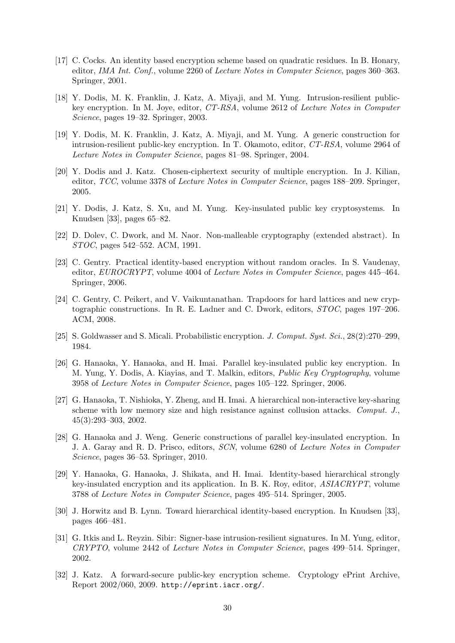- [17] C. Cocks. An identity based encryption scheme based on quadratic residues. In B. Honary, editor, *IMA Int. Conf.*, volume 2260 of *Lecture Notes in Computer Science*, pages 360–363. Springer, 2001.
- [18] Y. Dodis, M. K. Franklin, J. Katz, A. Miyaji, and M. Yung. Intrusion-resilient publickey encryption. In M. Joye, editor, *CT-RSA*, volume 2612 of *Lecture Notes in Computer Science*, pages 19–32. Springer, 2003.
- [19] Y. Dodis, M. K. Franklin, J. Katz, A. Miyaji, and M. Yung. A generic construction for intrusion-resilient public-key encryption. In T. Okamoto, editor, *CT-RSA*, volume 2964 of *Lecture Notes in Computer Science*, pages 81–98. Springer, 2004.
- [20] Y. Dodis and J. Katz. Chosen-ciphertext security of multiple encryption. In J. Kilian, editor, *TCC*, volume 3378 of *Lecture Notes in Computer Science*, pages 188–209. Springer, 2005.
- [21] Y. Dodis, J. Katz, S. Xu, and M. Yung. Key-insulated public key cryptosystems. In Knudsen [33], pages 65–82.
- [22] D. Dolev, C. Dwork, and M. Naor. Non-malleable cryptography (extended abstract). In *STOC*, pages 542–552. ACM, 1991.
- [23] C. Gentry. Practical identity-based encryption without random oracles. In S. Vaudenay, editor, *EUROCRYPT*, volume 4004 of *Lecture Notes in Computer Science*, pages 445–464. Springer, 2006.
- [24] C. Gentry, C. Peikert, and V. Vaikuntanathan. Trapdoors for hard lattices and new cryptographic constructions. In R. E. Ladner and C. Dwork, editors, *STOC*, pages 197–206. ACM, 2008.
- [25] S. Goldwasser and S. Micali. Probabilistic encryption. *J. Comput. Syst. Sci.*, 28(2):270–299, 1984.
- [26] G. Hanaoka, Y. Hanaoka, and H. Imai. Parallel key-insulated public key encryption. In M. Yung, Y. Dodis, A. Kiayias, and T. Malkin, editors, *Public Key Cryptography*, volume 3958 of *Lecture Notes in Computer Science*, pages 105–122. Springer, 2006.
- [27] G. Hanaoka, T. Nishioka, Y. Zheng, and H. Imai. A hierarchical non-interactive key-sharing scheme with low memory size and high resistance against collusion attacks. *Comput. J.*, 45(3):293–303, 2002.
- [28] G. Hanaoka and J. Weng. Generic constructions of parallel key-insulated encryption. In J. A. Garay and R. D. Prisco, editors, *SCN*, volume 6280 of *Lecture Notes in Computer Science*, pages 36–53. Springer, 2010.
- [29] Y. Hanaoka, G. Hanaoka, J. Shikata, and H. Imai. Identity-based hierarchical strongly key-insulated encryption and its application. In B. K. Roy, editor, *ASIACRYPT*, volume 3788 of *Lecture Notes in Computer Science*, pages 495–514. Springer, 2005.
- [30] J. Horwitz and B. Lynn. Toward hierarchical identity-based encryption. In Knudsen [33], pages 466–481.
- [31] G. Itkis and L. Reyzin. Sibir: Signer-base intrusion-resilient signatures. In M. Yung, editor, *CRYPTO*, volume 2442 of *Lecture Notes in Computer Science*, pages 499–514. Springer, 2002.
- [32] J. Katz. A forward-secure public-key encryption scheme. Cryptology ePrint Archive, Report 2002/060, 2009. http://eprint.iacr.org/.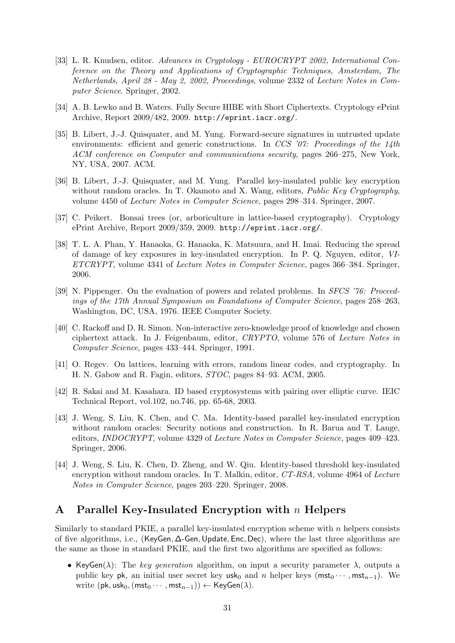- [33] L. R. Knudsen, editor. *Advances in Cryptology EUROCRYPT 2002, International Conference on the Theory and Applications of Cryptographic Techniques, Amsterdam, The Netherlands, April 28 - May 2, 2002, Proceedings*, volume 2332 of *Lecture Notes in Computer Science*. Springer, 2002.
- [34] A. B. Lewko and B. Waters. Fully Secure HIBE with Short Ciphertexts. Cryptology ePrint Archive, Report 2009/482, 2009. http://eprint.iacr.org/.
- [35] B. Libert, J.-J. Quisquater, and M. Yung. Forward-secure signatures in untrusted update environments: efficient and generic constructions. In *CCS '07: Proceedings of the 14th ACM conference on Computer and communications security*, pages 266–275, New York, NY, USA, 2007. ACM.
- [36] B. Libert, J.-J. Quisquater, and M. Yung. Parallel key-insulated public key encryption without random oracles. In T. Okamoto and X. Wang, editors, *Public Key Cryptography*, volume 4450 of *Lecture Notes in Computer Science*, pages 298–314. Springer, 2007.
- [37] C. Peikert. Bonsai trees (or, arboriculture in lattice-based cryptography). Cryptology ePrint Archive, Report 2009/359, 2009. http://eprint.iacr.org/.
- [38] T. L. A. Phan, Y. Hanaoka, G. Hanaoka, K. Matsuura, and H. Imai. Reducing the spread of damage of key exposures in key-insulated encryption. In P. Q. Nguyen, editor, *VI-ETCRYPT*, volume 4341 of *Lecture Notes in Computer Science*, pages 366–384. Springer, 2006.
- [39] N. Pippenger. On the evaluation of powers and related problems. In *SFCS '76: Proceedings of the 17th Annual Symposium on Foundations of Computer Science*, pages 258–263, Washington, DC, USA, 1976. IEEE Computer Society.
- [40] C. Rackoff and D. R. Simon. Non-interactive zero-knowledge proof of knowledge and chosen ciphertext attack. In J. Feigenbaum, editor, *CRYPTO*, volume 576 of *Lecture Notes in Computer Science*, pages 433–444. Springer, 1991.
- [41] O. Regev. On lattices, learning with errors, random linear codes, and cryptography. In H. N. Gabow and R. Fagin, editors, *STOC*, pages 84–93. ACM, 2005.
- [42] R. Sakai and M. Kasahara. ID based cryptosystems with pairing over elliptic curve. IEIC Technical Report, vol.102, no.746, pp. 65-68, 2003.
- [43] J. Weng, S. Liu, K. Chen, and C. Ma. Identity-based parallel key-insulated encryption without random oracles: Security notions and construction. In R. Barua and T. Lange, editors, *INDOCRYPT*, volume 4329 of *Lecture Notes in Computer Science*, pages 409–423. Springer, 2006.
- [44] J. Weng, S. Liu, K. Chen, D. Zheng, and W. Qiu. Identity-based threshold key-insulated encryption without random oracles. In T. Malkin, editor, *CT-RSA*, volume 4964 of *Lecture Notes in Computer Science*, pages 203–220. Springer, 2008.

# **A Parallel Key-Insulated Encryption with** *n* **Helpers**

Similarly to standard PKIE, a parallel key-insulated encryption scheme with *n* helpers consists of five algorithms, i.e., (KeyGen*,* ∆-Gen*,*Update*,* Enc*,* Dec), where the last three algorithms are the same as those in standard PKIE, and the first two algorithms are specified as follows:

• KeyGen( $\lambda$ ): The *key generation* algorithm, on input a security parameter  $\lambda$ , outputs a public key pk, an initial user secret key usk<sub>0</sub> and *n* helper keys ( $mst_0 \cdots$ ,  $mst_{n-1}$ ). We  $\text{write } (\mathsf{pk}, \mathsf{usk}_0, (\mathsf{mst}_0 \cdots, \mathsf{mst}_{n-1})) \leftarrow \mathsf{KeyGen}(\lambda).$